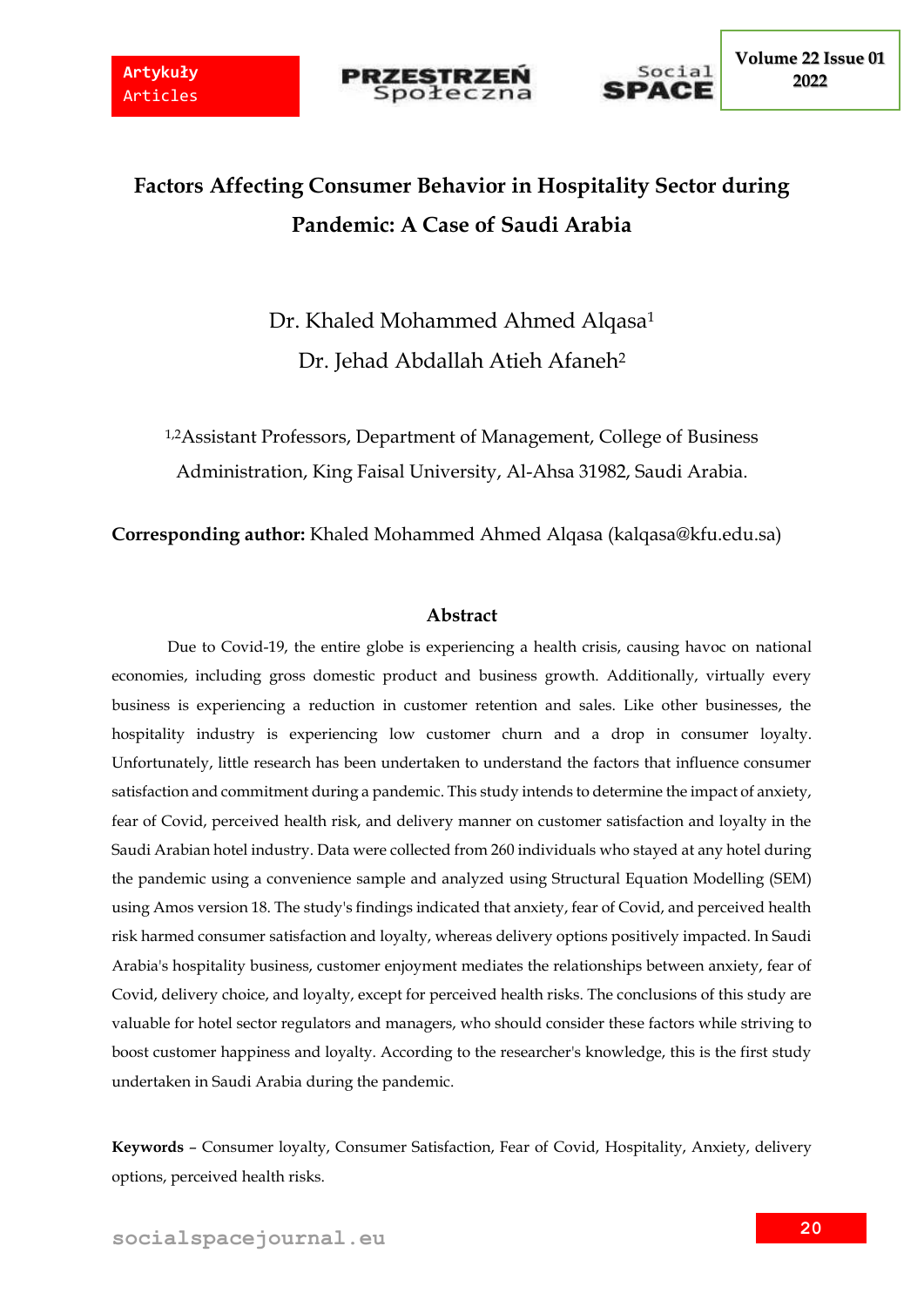



# **Factors Affecting Consumer Behavior in Hospitality Sector during Pandemic: A Case of Saudi Arabia**

Dr. Khaled Mohammed Ahmed Alqasa<sup>1</sup> Dr. Jehad Abdallah Atieh Afaneh<sup>2</sup>

1,2Assistant Professors, Department of Management, College of Business Administration, King Faisal University, Al-Ahsa 31982, Saudi Arabia.

**Corresponding author:** Khaled Mohammed Ahmed Alqasa (kalqasa@kfu.edu.sa)

# **Abstract**

Due to Covid-19, the entire globe is experiencing a health crisis, causing havoc on national economies, including gross domestic product and business growth. Additionally, virtually every business is experiencing a reduction in customer retention and sales. Like other businesses, the hospitality industry is experiencing low customer churn and a drop in consumer loyalty. Unfortunately, little research has been undertaken to understand the factors that influence consumer satisfaction and commitment during a pandemic. This study intends to determine the impact of anxiety, fear of Covid, perceived health risk, and delivery manner on customer satisfaction and loyalty in the Saudi Arabian hotel industry. Data were collected from 260 individuals who stayed at any hotel during the pandemic using a convenience sample and analyzed using Structural Equation Modelling (SEM) using Amos version 18. The study's findings indicated that anxiety, fear of Covid, and perceived health risk harmed consumer satisfaction and loyalty, whereas delivery options positively impacted. In Saudi Arabia's hospitality business, customer enjoyment mediates the relationships between anxiety, fear of Covid, delivery choice, and loyalty, except for perceived health risks. The conclusions of this study are valuable for hotel sector regulators and managers, who should consider these factors while striving to boost customer happiness and loyalty. According to the researcher's knowledge, this is the first study undertaken in Saudi Arabia during the pandemic.

**Keywords** – Consumer loyalty, Consumer Satisfaction, Fear of Covid, Hospitality, Anxiety, delivery options, perceived health risks.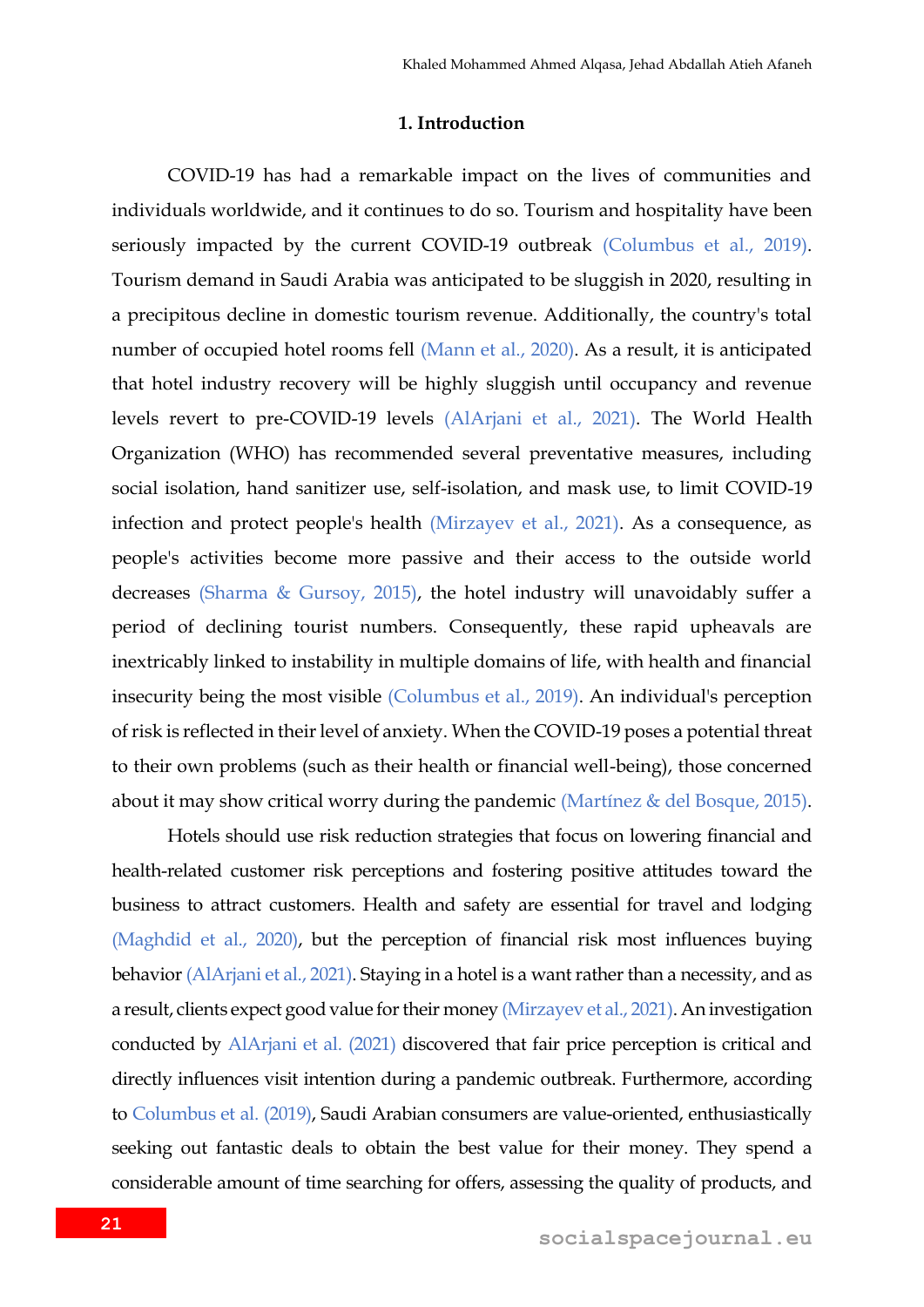### **1. Introduction**

COVID-19 has had a remarkable impact on the lives of communities and individuals worldwide, and it continues to do so. Tourism and hospitality have been seriously impacted by the current COVID-19 outbreak (Columbus et al., 2019). Tourism demand in Saudi Arabia was anticipated to be sluggish in 2020, resulting in a precipitous decline in domestic tourism revenue. Additionally, the country's total number of occupied hotel rooms fell (Mann et al., 2020). As a result, it is anticipated that hotel industry recovery will be highly sluggish until occupancy and revenue levels revert to pre-COVID-19 levels (AlArjani et al., 2021). The World Health Organization (WHO) has recommended several preventative measures, including social isolation, hand sanitizer use, self-isolation, and mask use, to limit COVID-19 infection and protect people's health (Mirzayev et al., 2021). As a consequence, as people's activities become more passive and their access to the outside world decreases (Sharma & Gursoy, 2015), the hotel industry will unavoidably suffer a period of declining tourist numbers. Consequently, these rapid upheavals are inextricably linked to instability in multiple domains of life, with health and financial insecurity being the most visible (Columbus et al., 2019). An individual's perception of risk is reflected in their level of anxiety. When the COVID-19 poses a potential threat to their own problems (such as their health or financial well-being), those concerned about it may show critical worry during the pandemic (Martínez & del Bosque, 2015).

Hotels should use risk reduction strategies that focus on lowering financial and health-related customer risk perceptions and fostering positive attitudes toward the business to attract customers. Health and safety are essential for travel and lodging (Maghdid et al., 2020), but the perception of financial risk most influences buying behavior (AlArjani et al., 2021). Staying in a hotel is a want rather than a necessity, and as a result, clients expect good value for their money (Mirzayev et al., 2021). An investigation conducted by AlArjani et al. (2021) discovered that fair price perception is critical and directly influences visit intention during a pandemic outbreak. Furthermore, according to Columbus et al. (2019), Saudi Arabian consumers are value-oriented, enthusiastically seeking out fantastic deals to obtain the best value for their money. They spend a considerable amount of time searching for offers, assessing the quality of products, and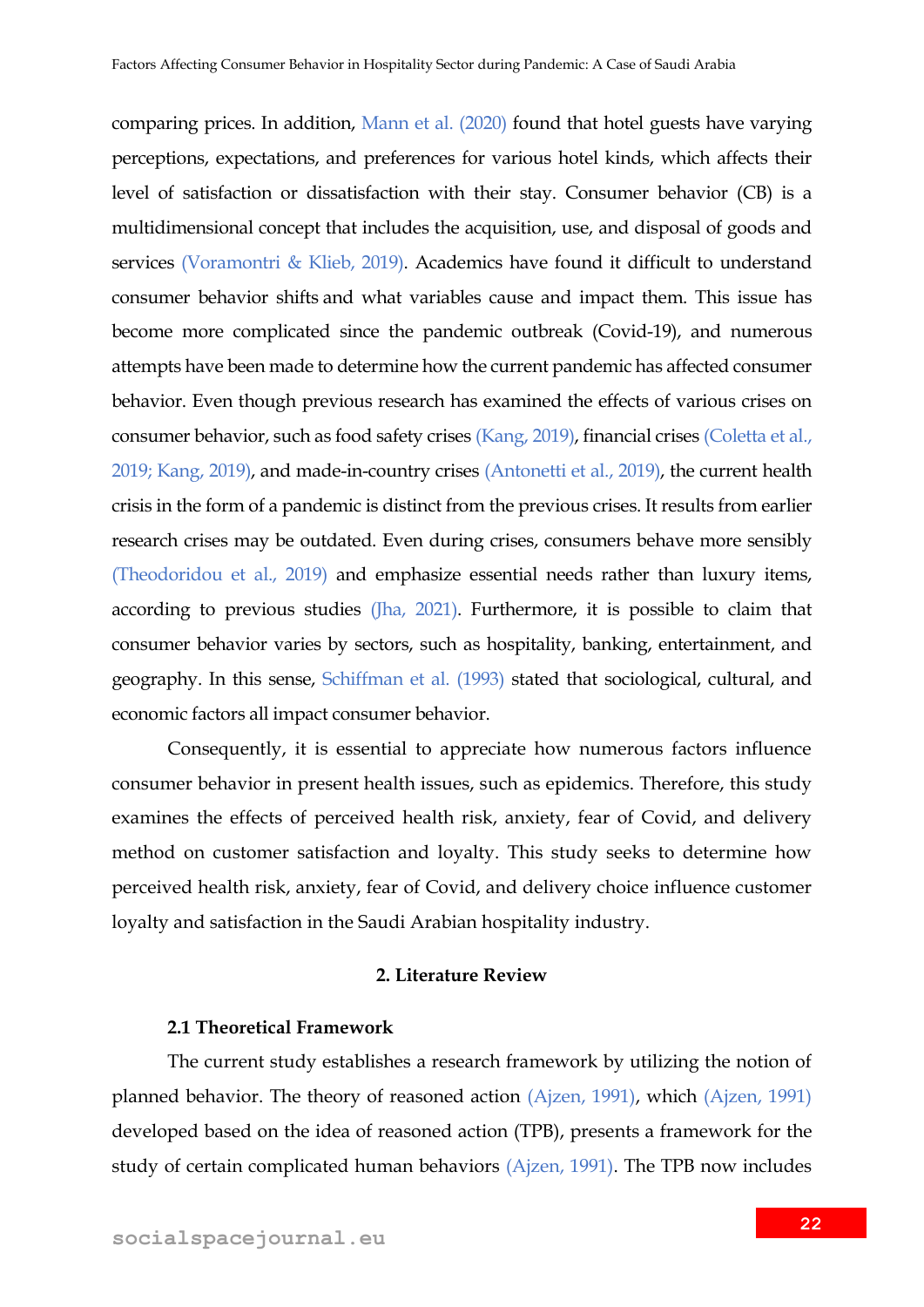comparing prices. In addition, Mann et al. (2020) found that hotel guests have varying perceptions, expectations, and preferences for various hotel kinds, which affects their level of satisfaction or dissatisfaction with their stay. Consumer behavior (CB) is a multidimensional concept that includes the acquisition, use, and disposal of goods and services (Voramontri & Klieb, 2019). Academics have found it difficult to understand consumer behavior shifts and what variables cause and impact them. This issue has become more complicated since the pandemic outbreak (Covid-19), and numerous attempts have been made to determine how the current pandemic has affected consumer behavior. Even though previous research has examined the effects of various crises on consumer behavior, such as food safety crises (Kang, 2019), financial crises (Coletta et al., 2019; Kang, 2019), and made-in-country crises (Antonetti et al., 2019), the current health crisis in the form of a pandemic is distinct from the previous crises. It results from earlier research crises may be outdated. Even during crises, consumers behave more sensibly (Theodoridou et al., 2019) and emphasize essential needs rather than luxury items, according to previous studies (Jha, 2021). Furthermore, it is possible to claim that consumer behavior varies by sectors, such as hospitality, banking, entertainment, and geography. In this sense, Schiffman et al. (1993) stated that sociological, cultural, and economic factors all impact consumer behavior.

Consequently, it is essential to appreciate how numerous factors influence consumer behavior in present health issues, such as epidemics. Therefore, this study examines the effects of perceived health risk, anxiety, fear of Covid, and delivery method on customer satisfaction and loyalty. This study seeks to determine how perceived health risk, anxiety, fear of Covid, and delivery choice influence customer loyalty and satisfaction in the Saudi Arabian hospitality industry.

### **2. Literature Review**

## **2.1 Theoretical Framework**

The current study establishes a research framework by utilizing the notion of planned behavior. The theory of reasoned action (Ajzen, 1991), which (Ajzen, 1991) developed based on the idea of reasoned action (TPB), presents a framework for the study of certain complicated human behaviors (Ajzen, 1991). The TPB now includes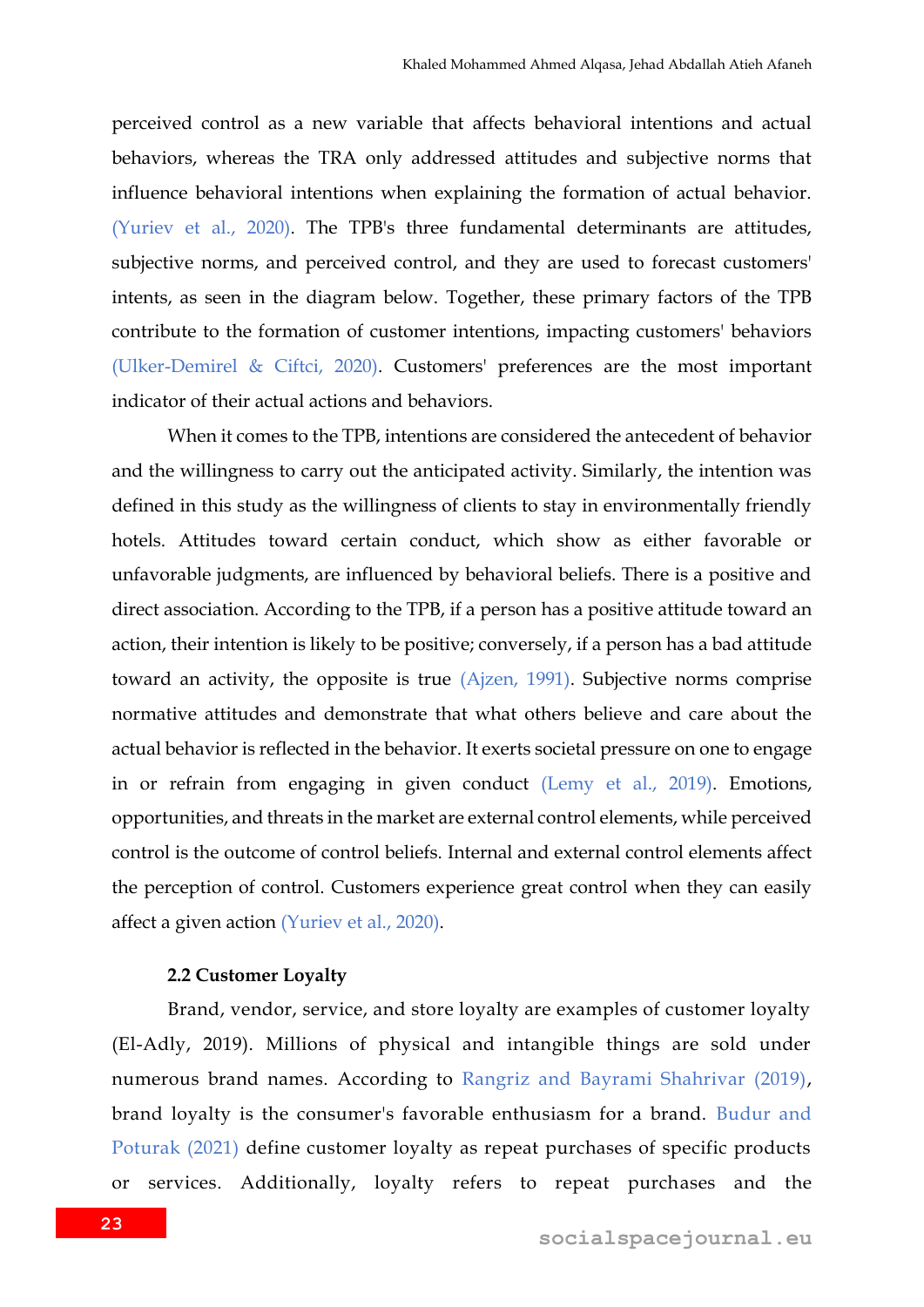perceived control as a new variable that affects behavioral intentions and actual behaviors, whereas the TRA only addressed attitudes and subjective norms that influence behavioral intentions when explaining the formation of actual behavior. (Yuriev et al., 2020). The TPB's three fundamental determinants are attitudes, subjective norms, and perceived control, and they are used to forecast customers' intents, as seen in the diagram below. Together, these primary factors of the TPB contribute to the formation of customer intentions, impacting customers' behaviors (Ulker-Demirel & Ciftci, 2020). Customers' preferences are the most important indicator of their actual actions and behaviors.

When it comes to the TPB, intentions are considered the antecedent of behavior and the willingness to carry out the anticipated activity. Similarly, the intention was defined in this study as the willingness of clients to stay in environmentally friendly hotels. Attitudes toward certain conduct, which show as either favorable or unfavorable judgments, are influenced by behavioral beliefs. There is a positive and direct association. According to the TPB, if a person has a positive attitude toward an action, their intention is likely to be positive; conversely, if a person has a bad attitude toward an activity, the opposite is true (Ajzen, 1991). Subjective norms comprise normative attitudes and demonstrate that what others believe and care about the actual behavior is reflected in the behavior. It exerts societal pressure on one to engage in or refrain from engaging in given conduct (Lemy et al., 2019). Emotions, opportunities, and threats in the market are external control elements, while perceived control is the outcome of control beliefs. Internal and external control elements affect the perception of control. Customers experience great control when they can easily affect a given action (Yuriev et al., 2020).

### **2.2 Customer Loyalty**

Brand, vendor, service, and store loyalty are examples of customer loyalty (El-Adly, 2019). Millions of physical and intangible things are sold under numerous brand names. According to Rangriz and Bayrami Shahrivar (2019), brand loyalty is the consumer's favorable enthusiasm for a brand. Budur and Poturak (2021) define customer loyalty as repeat purchases of specific products or services. Additionally, loyalty refers to repeat purchases and the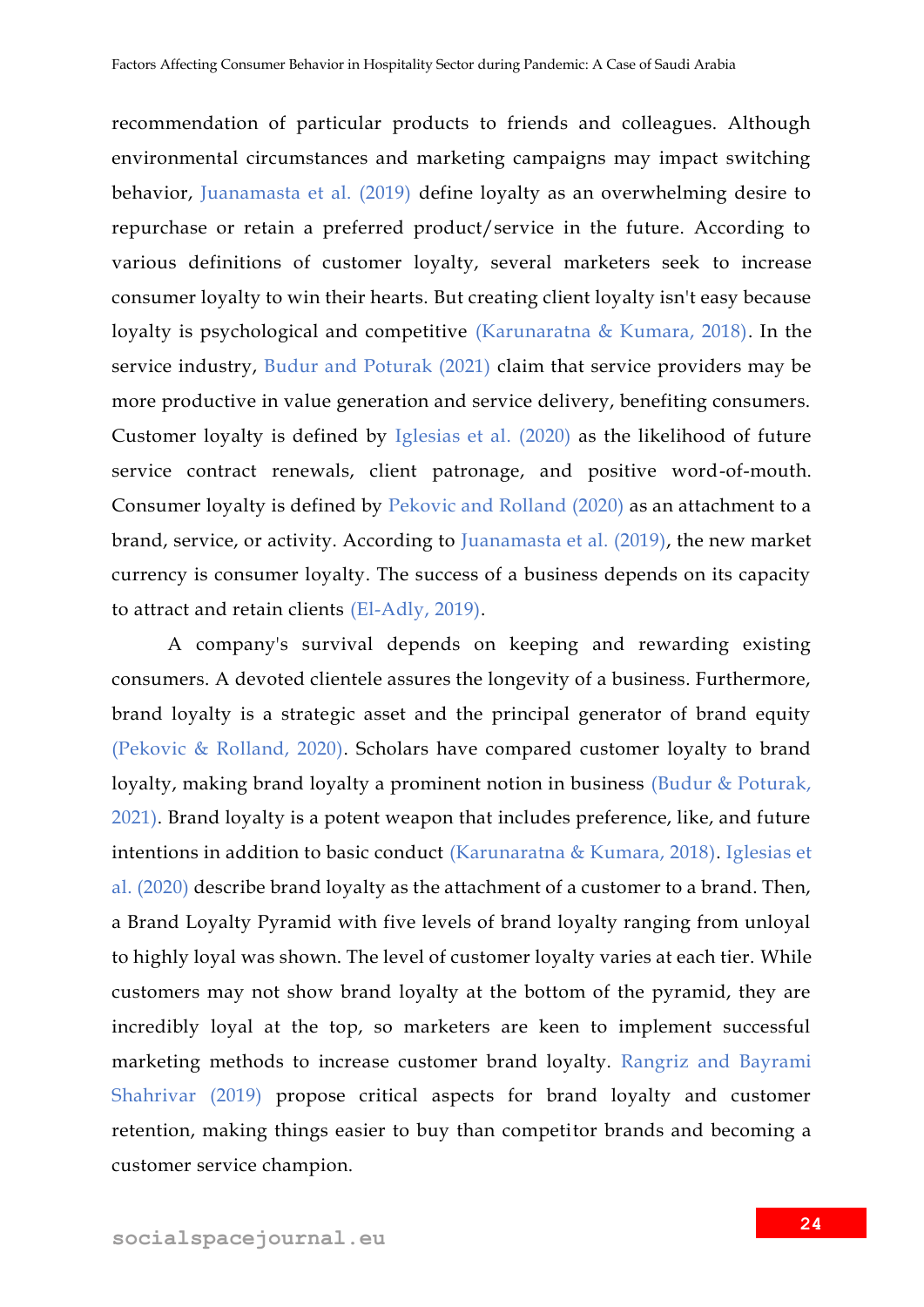recommendation of particular products to friends and colleagues. Although environmental circumstances and marketing campaigns may impact switching behavior, Juanamasta et al. (2019) define loyalty as an overwhelming desire to repurchase or retain a preferred product/service in the future. According to various definitions of customer loyalty, several marketers seek to increase consumer loyalty to win their hearts. But creating client loyalty isn't easy because loyalty is psychological and competitive (Karunaratna & Kumara, 2018). In the service industry, Budur and Poturak (2021) claim that service providers may be more productive in value generation and service delivery, benefiting consumers. Customer loyalty is defined by Iglesias et al. (2020) as the likelihood of future service contract renewals, client patronage, and positive word-of-mouth. Consumer loyalty is defined by Pekovic and Rolland (2020) as an attachment to a brand, service, or activity. According to Juanamasta et al. (2019), the new market currency is consumer loyalty. The success of a business depends on its capacity to attract and retain clients (El-Adly, 2019).

A company's survival depends on keeping and rewarding existing consumers. A devoted clientele assures the longevity of a business. Furthermore, brand loyalty is a strategic asset and the principal generator of brand equity (Pekovic & Rolland, 2020). Scholars have compared customer loyalty to brand loyalty, making brand loyalty a prominent notion in business (Budur & Poturak, 2021). Brand loyalty is a potent weapon that includes preference, like, and future intentions in addition to basic conduct (Karunaratna & Kumara, 2018). Iglesias et al. (2020) describe brand loyalty as the attachment of a customer to a brand. Then, a Brand Loyalty Pyramid with five levels of brand loyalty ranging from unloyal to highly loyal was shown. The level of customer loyalty varies at each tier. While customers may not show brand loyalty at the bottom of the pyramid, they are incredibly loyal at the top, so marketers are keen to implement successful marketing methods to increase customer brand loyalty. Rangriz and Bayrami Shahrivar (2019) propose critical aspects for brand loyalty and customer retention, making things easier to buy than competitor brands and becoming a customer service champion.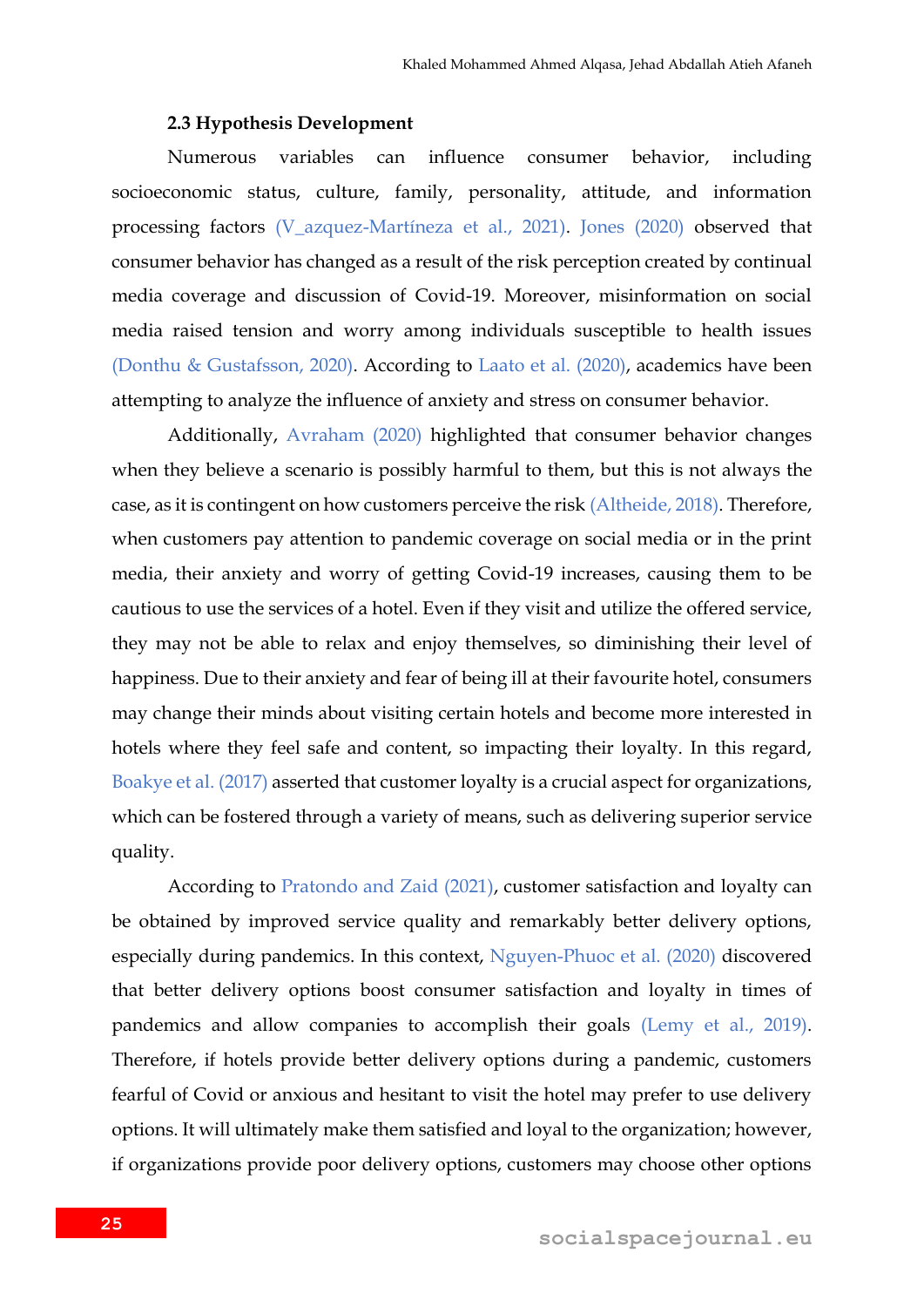### **2.3 Hypothesis Development**

Numerous variables can influence consumer behavior, including socioeconomic status, culture, family, personality, attitude, and information processing factors (V\_azquez-Martíneza et al., 2021). Jones (2020) observed that consumer behavior has changed as a result of the risk perception created by continual media coverage and discussion of Covid-19. Moreover, misinformation on social media raised tension and worry among individuals susceptible to health issues (Donthu & Gustafsson, 2020). According to Laato et al. (2020), academics have been attempting to analyze the influence of anxiety and stress on consumer behavior.

Additionally, Avraham (2020) highlighted that consumer behavior changes when they believe a scenario is possibly harmful to them, but this is not always the case, as it is contingent on how customers perceive the risk (Altheide, 2018). Therefore, when customers pay attention to pandemic coverage on social media or in the print media, their anxiety and worry of getting Covid-19 increases, causing them to be cautious to use the services of a hotel. Even if they visit and utilize the offered service, they may not be able to relax and enjoy themselves, so diminishing their level of happiness. Due to their anxiety and fear of being ill at their favourite hotel, consumers may change their minds about visiting certain hotels and become more interested in hotels where they feel safe and content, so impacting their loyalty. In this regard, Boakye et al. (2017) asserted that customer loyalty is a crucial aspect for organizations, which can be fostered through a variety of means, such as delivering superior service quality.

According to Pratondo and Zaid (2021), customer satisfaction and loyalty can be obtained by improved service quality and remarkably better delivery options, especially during pandemics. In this context, Nguyen-Phuoc et al. (2020) discovered that better delivery options boost consumer satisfaction and loyalty in times of pandemics and allow companies to accomplish their goals (Lemy et al., 2019). Therefore, if hotels provide better delivery options during a pandemic, customers fearful of Covid or anxious and hesitant to visit the hotel may prefer to use delivery options. It will ultimately make them satisfied and loyal to the organization; however, if organizations provide poor delivery options, customers may choose other options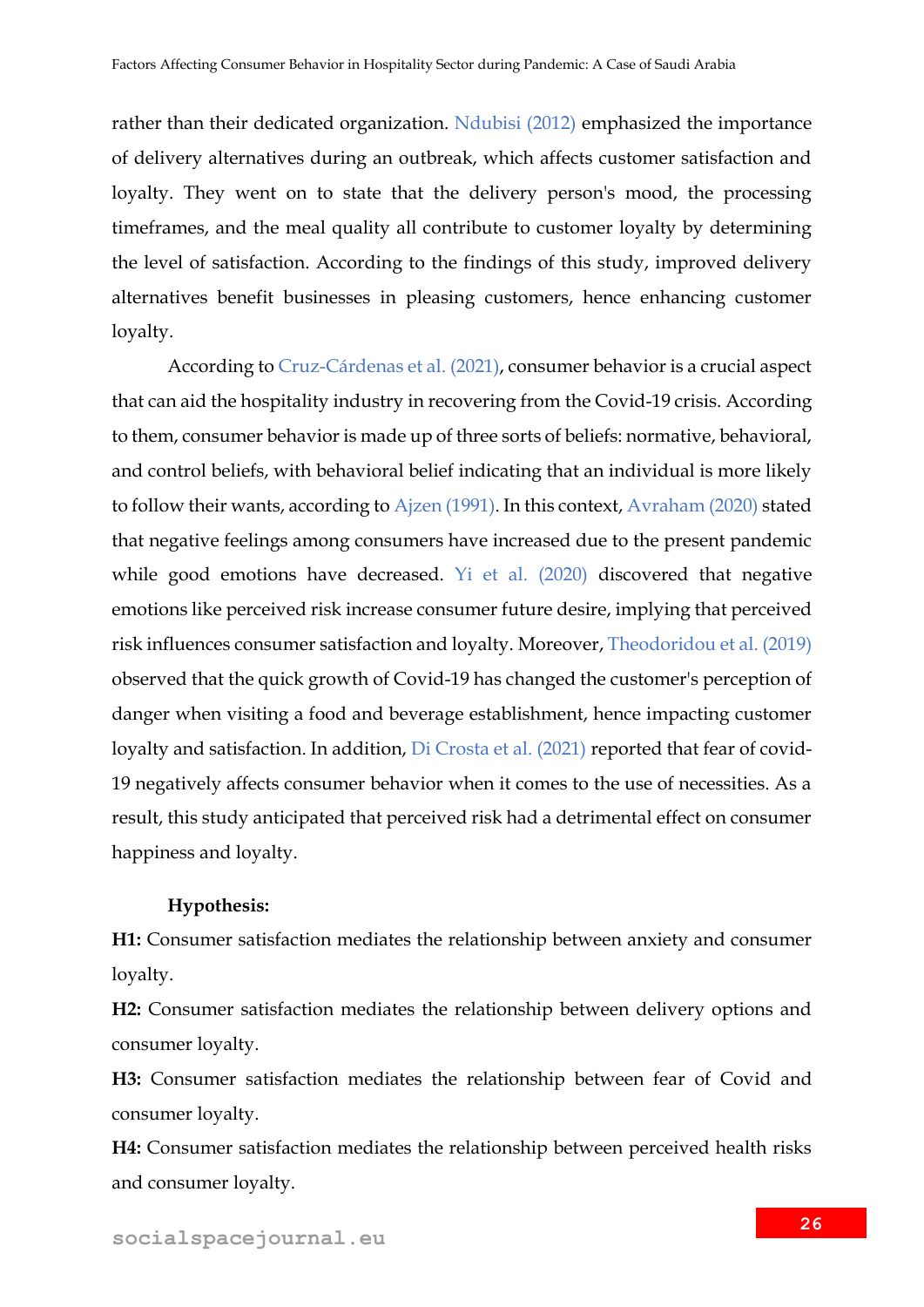rather than their dedicated organization. Ndubisi (2012) emphasized the importance of delivery alternatives during an outbreak, which affects customer satisfaction and loyalty. They went on to state that the delivery person's mood, the processing timeframes, and the meal quality all contribute to customer loyalty by determining the level of satisfaction. According to the findings of this study, improved delivery alternatives benefit businesses in pleasing customers, hence enhancing customer loyalty.

According to Cruz-Cárdenas et al. (2021), consumer behavior is a crucial aspect that can aid the hospitality industry in recovering from the Covid-19 crisis. According to them, consumer behavior is made up of three sorts of beliefs: normative, behavioral, and control beliefs, with behavioral belief indicating that an individual is more likely to follow their wants, according to Ajzen (1991). In this context, Avraham (2020) stated that negative feelings among consumers have increased due to the present pandemic while good emotions have decreased. Yi et al. (2020) discovered that negative emotions like perceived risk increase consumer future desire, implying that perceived risk influences consumer satisfaction and loyalty. Moreover, Theodoridou et al. (2019) observed that the quick growth of Covid-19 has changed the customer's perception of danger when visiting a food and beverage establishment, hence impacting customer loyalty and satisfaction. In addition, Di Crosta et al. (2021) reported that fear of covid-19 negatively affects consumer behavior when it comes to the use of necessities. As a result, this study anticipated that perceived risk had a detrimental effect on consumer happiness and loyalty.

### **Hypothesis:**

**H1:** Consumer satisfaction mediates the relationship between anxiety and consumer loyalty.

**H2:** Consumer satisfaction mediates the relationship between delivery options and consumer loyalty.

**H3:** Consumer satisfaction mediates the relationship between fear of Covid and consumer loyalty.

**H4:** Consumer satisfaction mediates the relationship between perceived health risks and consumer loyalty.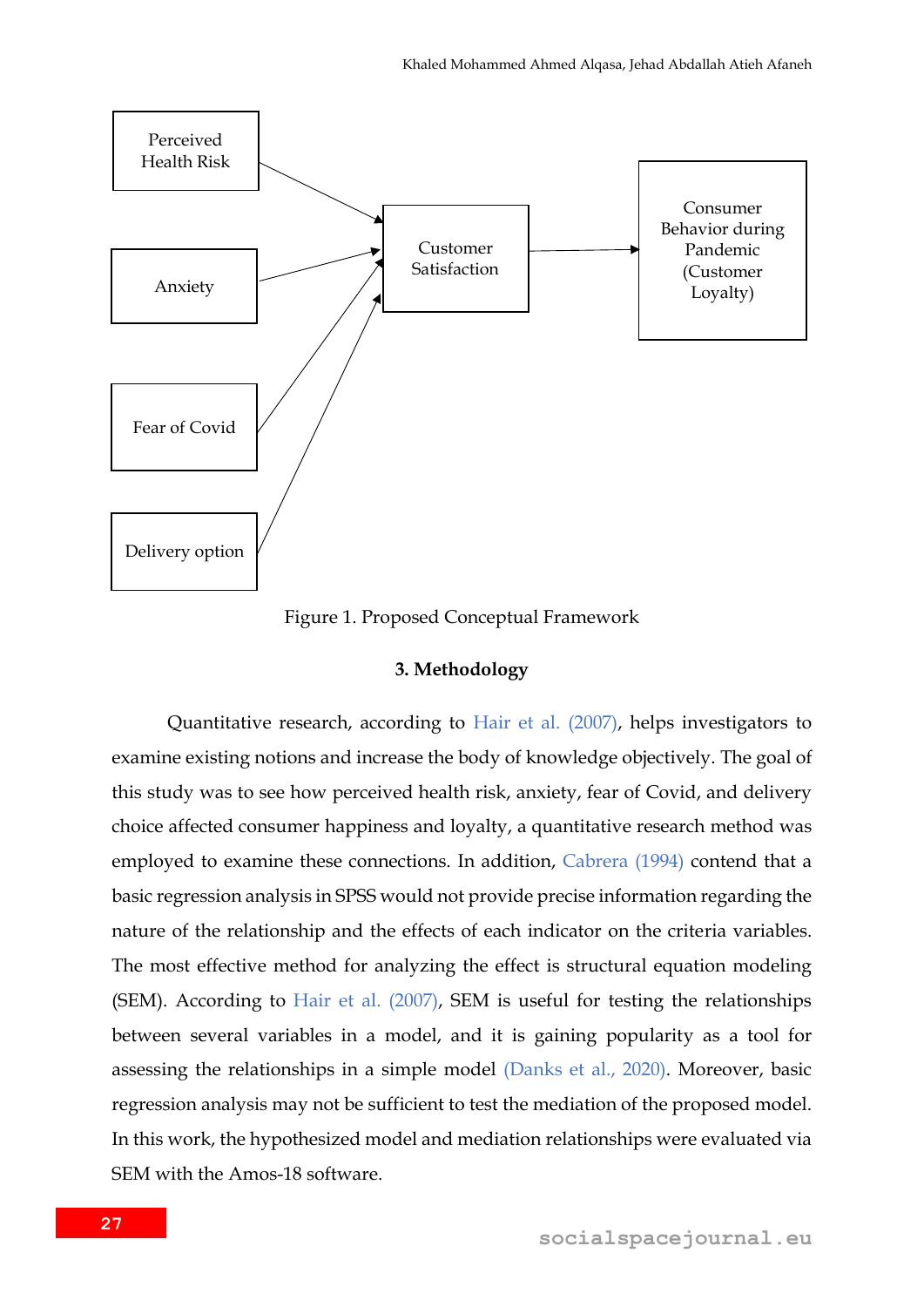

Figure 1. Proposed Conceptual Framework

### **3. Methodology**

Quantitative research, according to Hair et al. (2007), helps investigators to examine existing notions and increase the body of knowledge objectively. The goal of this study was to see how perceived health risk, anxiety, fear of Covid, and delivery choice affected consumer happiness and loyalty, a quantitative research method was employed to examine these connections. In addition, Cabrera (1994) contend that a basic regression analysis in SPSS would not provide precise information regarding the nature of the relationship and the effects of each indicator on the criteria variables. The most effective method for analyzing the effect is structural equation modeling (SEM). According to Hair et al. (2007), SEM is useful for testing the relationships between several variables in a model, and it is gaining popularity as a tool for assessing the relationships in a simple model (Danks et al., 2020). Moreover, basic regression analysis may not be sufficient to test the mediation of the proposed model. In this work, the hypothesized model and mediation relationships were evaluated via SEM with the Amos-18 software.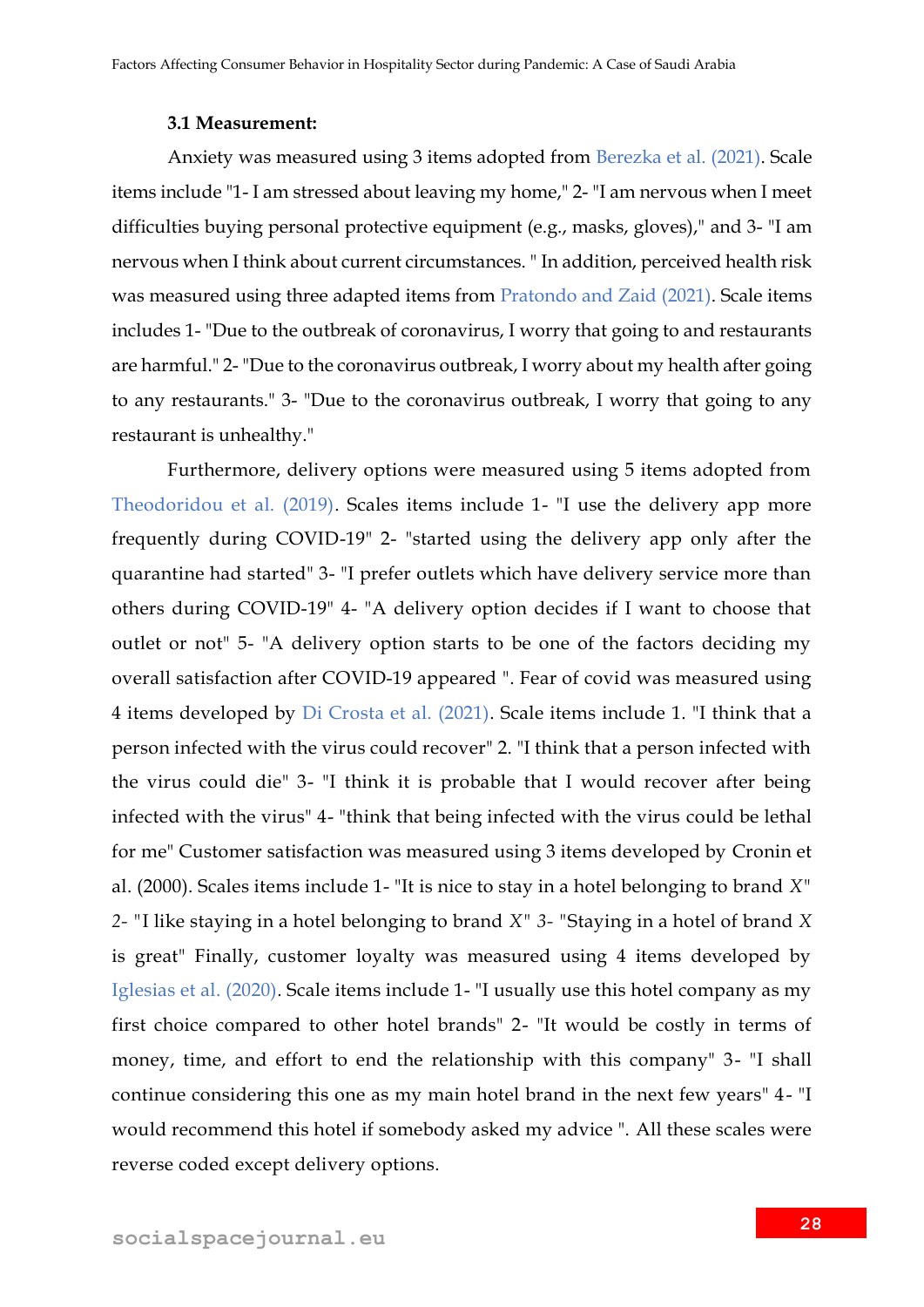### **3.1 Measurement:**

Anxiety was measured using 3 items adopted from Berezka et al. (2021). Scale items include "1- I am stressed about leaving my home," 2- "I am nervous when I meet difficulties buying personal protective equipment (e.g., masks, gloves)," and 3- "I am nervous when I think about current circumstances. " In addition, perceived health risk was measured using three adapted items from Pratondo and Zaid (2021). Scale items includes 1- "Due to the outbreak of coronavirus, I worry that going to and restaurants are harmful." 2- "Due to the coronavirus outbreak, I worry about my health after going to any restaurants." 3- "Due to the coronavirus outbreak, I worry that going to any restaurant is unhealthy."

Furthermore, delivery options were measured using 5 items adopted from Theodoridou et al. (2019). Scales items include 1- "I use the delivery app more frequently during COVID-19" 2- "started using the delivery app only after the quarantine had started" 3- "I prefer outlets which have delivery service more than others during COVID-19" 4- "A delivery option decides if I want to choose that outlet or not" 5- "A delivery option starts to be one of the factors deciding my overall satisfaction after COVID-19 appeared ". Fear of covid was measured using 4 items developed by Di Crosta et al. (2021). Scale items include 1. "I think that a person infected with the virus could recover" 2. "I think that a person infected with the virus could die" 3- "I think it is probable that I would recover after being infected with the virus" 4- "think that being infected with the virus could be lethal for me" Customer satisfaction was measured using 3 items developed by Cronin et al. (2000). Scales items include 1- "It is nice to stay in a hotel belonging to brand *X" 2- "*I like staying in a hotel belonging to brand *X" 3- "*Staying in a hotel of brand *X*  is great" Finally, customer loyalty was measured using 4 items developed by Iglesias et al. (2020). Scale items include 1- "I usually use this hotel company as my first choice compared to other hotel brands" 2- "It would be costly in terms of money, time, and effort to end the relationship with this company" 3- "I shall continue considering this one as my main hotel brand in the next few years" 4- "I would recommend this hotel if somebody asked my advice ". All these scales were reverse coded except delivery options.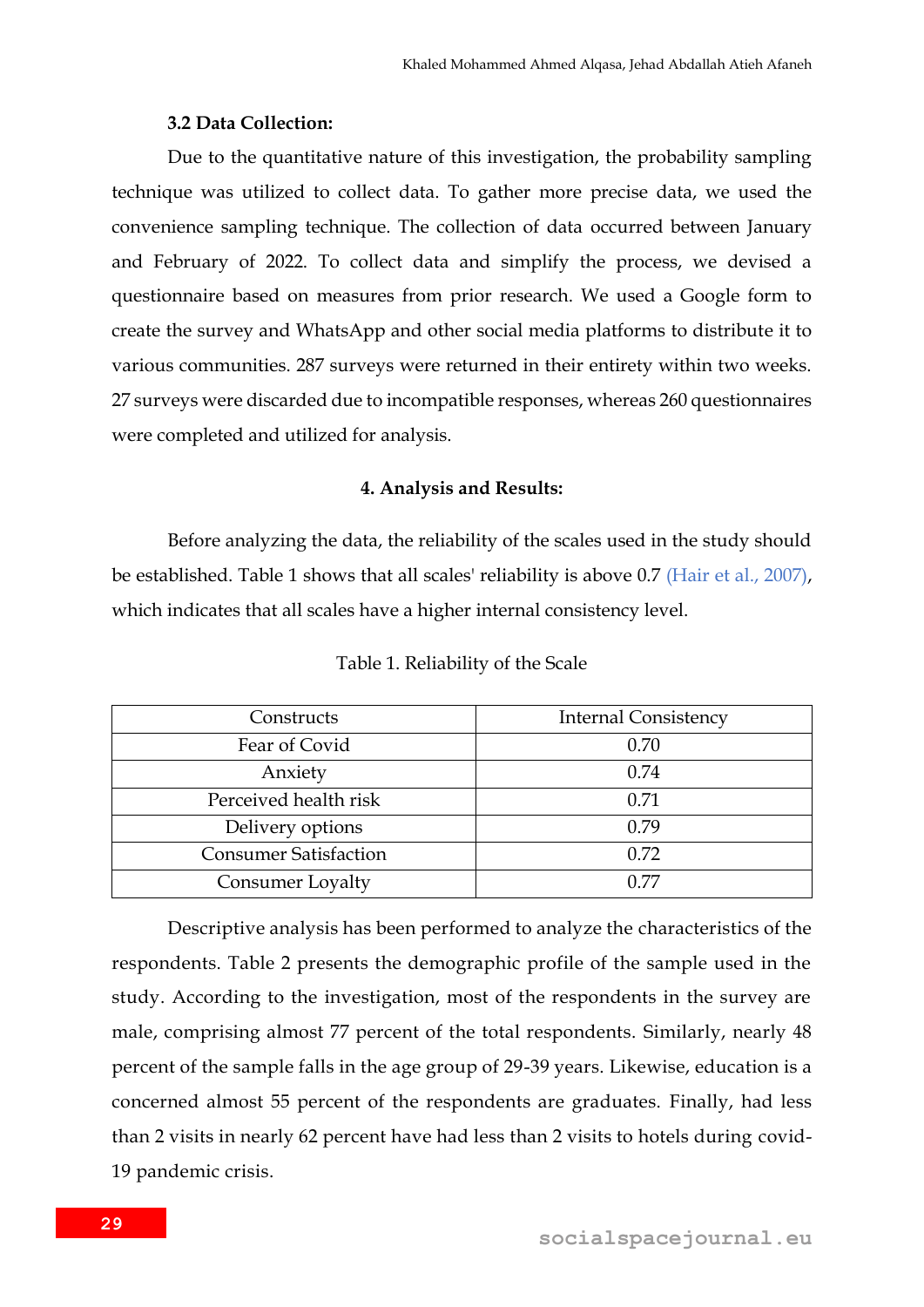### **3.2 Data Collection:**

Due to the quantitative nature of this investigation, the probability sampling technique was utilized to collect data. To gather more precise data, we used the convenience sampling technique. The collection of data occurred between January and February of 2022. To collect data and simplify the process, we devised a questionnaire based on measures from prior research. We used a Google form to create the survey and WhatsApp and other social media platforms to distribute it to various communities. 287 surveys were returned in their entirety within two weeks. 27 surveys were discarded due to incompatible responses, whereas 260 questionnaires were completed and utilized for analysis.

### **4. Analysis and Results:**

Before analyzing the data, the reliability of the scales used in the study should be established. Table 1 shows that all scales' reliability is above 0.7 (Hair et al., 2007), which indicates that all scales have a higher internal consistency level.

| Constructs                   | <b>Internal Consistency</b> |
|------------------------------|-----------------------------|
| Fear of Covid                | 0.70                        |
| Anxiety                      | 0.74                        |
| Perceived health risk        | 0.71                        |
| Delivery options             | 0.79                        |
| <b>Consumer Satisfaction</b> | 0.72                        |
| Consumer Loyalty             | በ 77                        |

Table 1. Reliability of the Scale

Descriptive analysis has been performed to analyze the characteristics of the respondents. Table 2 presents the demographic profile of the sample used in the study. According to the investigation, most of the respondents in the survey are male, comprising almost 77 percent of the total respondents. Similarly, nearly 48 percent of the sample falls in the age group of 29-39 years. Likewise, education is a concerned almost 55 percent of the respondents are graduates. Finally, had less than 2 visits in nearly 62 percent have had less than 2 visits to hotels during covid-19 pandemic crisis.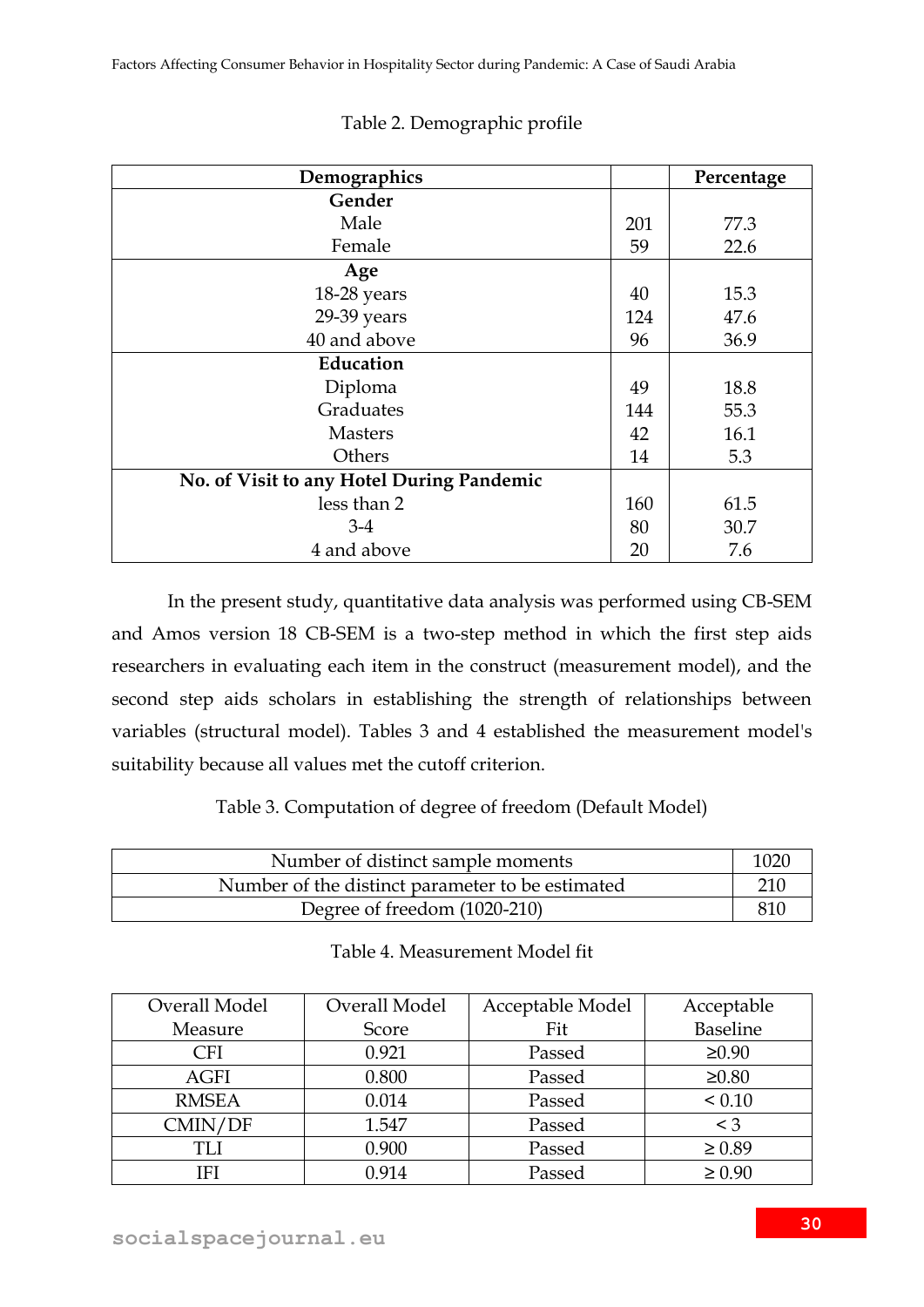| Demographics                              |     | Percentage |
|-------------------------------------------|-----|------------|
| Gender                                    |     |            |
| Male                                      | 201 | 77.3       |
| Female                                    | 59  | 22.6       |
| Age                                       |     |            |
| 18-28 years                               | 40  | 15.3       |
| 29-39 years                               | 124 | 47.6       |
| 40 and above                              | 96  | 36.9       |
| Education                                 |     |            |
| Diploma                                   | 49  | 18.8       |
| Graduates                                 | 144 | 55.3       |
| <b>Masters</b>                            | 42  | 16.1       |
| Others                                    | 14  | 5.3        |
| No. of Visit to any Hotel During Pandemic |     |            |
| less than 2                               | 160 | 61.5       |
| $3-4$                                     | 80  | 30.7       |
| 4 and above                               | 20  | 7.6        |

# Table 2. Demographic profile

In the present study, quantitative data analysis was performed using CB-SEM and Amos version 18 CB-SEM is a two-step method in which the first step aids researchers in evaluating each item in the construct (measurement model), and the second step aids scholars in establishing the strength of relationships between variables (structural model). Tables 3 and 4 established the measurement model's suitability because all values met the cutoff criterion.

# Table 3. Computation of degree of freedom (Default Model)

| Number of distinct sample moments                |  |
|--------------------------------------------------|--|
| Number of the distinct parameter to be estimated |  |
| Degree of freedom (1020-210)                     |  |

|  | Table 4. Measurement Model fit |  |
|--|--------------------------------|--|
|--|--------------------------------|--|

| Overall Model | Overall Model | Acceptable Model | Acceptable      |
|---------------|---------------|------------------|-----------------|
| Measure       | Score         | Fit              | <b>Baseline</b> |
| CFI           | 0.921         | Passed           | $\geq 0.90$     |
| <b>AGFI</b>   | 0.800         | Passed           | $\geq 0.80$     |
| <b>RMSEA</b>  | 0.014         | Passed           | < 0.10          |
| CMIN/DF       | 1.547         | Passed           | $\leq 3$        |
| TLI           | 0.900         | Passed           | $\geq 0.89$     |
| IFI           | 0.914         | Passed           | $\geq 0.90$     |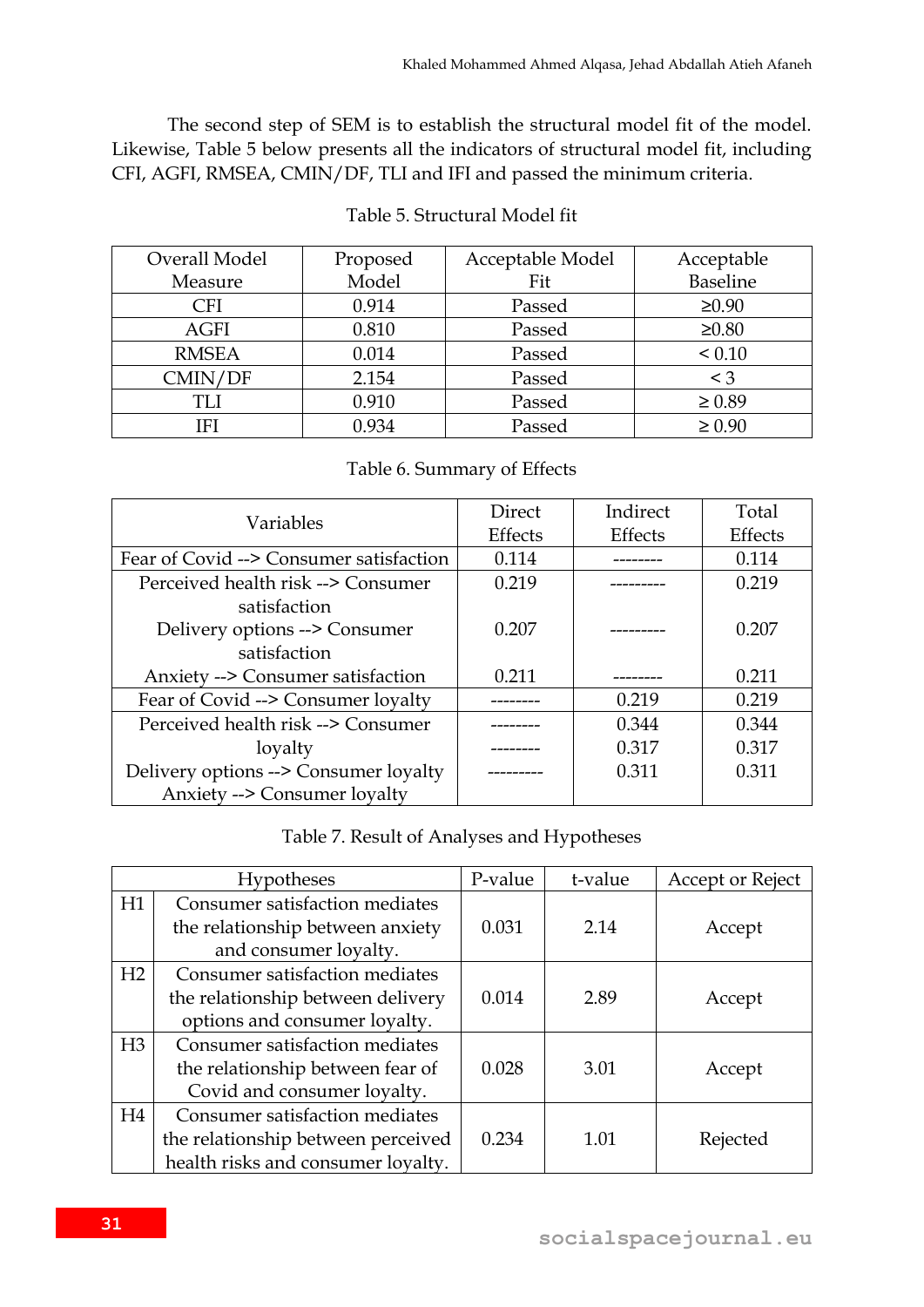The second step of SEM is to establish the structural model fit of the model. Likewise, Table 5 below presents all the indicators of structural model fit, including CFI, AGFI, RMSEA, CMIN/DF, TLI and IFI and passed the minimum criteria.

| Overall Model | Proposed | Acceptable Model | Acceptable  |
|---------------|----------|------------------|-------------|
| Measure       | Model    | Fit              | Baseline    |
| <b>CFI</b>    | 0.914    | Passed           | $\geq 0.90$ |
| <b>AGFI</b>   | 0.810    | Passed           | $\geq 0.80$ |
| <b>RMSEA</b>  | 0.014    | Passed           | < 0.10      |
| CMIN/DF       | 2.154    | Passed           | $<$ 3       |
| TLI           | 0.910    | Passed           | $\geq 0.89$ |
| IFI           | 0.934    | Passed           | $\geq 0.90$ |

# Table 5. Structural Model fit

# Table 6. Summary of Effects

|                                         | Direct         | Indirect       | Total   |
|-----------------------------------------|----------------|----------------|---------|
| Variables                               | <b>Effects</b> | <b>Effects</b> | Effects |
| Fear of Covid --> Consumer satisfaction | 0.114          |                | 0.114   |
| Perceived health risk --> Consumer      | 0.219          |                | 0.219   |
| satisfaction                            |                |                |         |
| Delivery options --> Consumer           | 0.207          |                | 0.207   |
| satisfaction                            |                |                |         |
| Anxiety --> Consumer satisfaction       | 0.211          |                | 0.211   |
| Fear of Covid --> Consumer loyalty      |                | 0.219          | 0.219   |
| Perceived health risk --> Consumer      |                | 0.344          | 0.344   |
| loyalty                                 |                | 0.317          | 0.317   |
| Delivery options --> Consumer loyalty   |                | 0.311          | 0.311   |
| <b>Anxiety --&gt; Consumer loyalty</b>  |                |                |         |

# Table 7. Result of Analyses and Hypotheses

|    | <b>Hypotheses</b>                  | P-value | t-value | Accept or Reject |
|----|------------------------------------|---------|---------|------------------|
| H1 | Consumer satisfaction mediates     |         |         |                  |
|    | the relationship between anxiety   | 0.031   | 2.14    | Accept           |
|    | and consumer loyalty.              |         |         |                  |
| H2 | Consumer satisfaction mediates     |         |         |                  |
|    | the relationship between delivery  | 0.014   | 2.89    | Accept           |
|    | options and consumer loyalty.      |         |         |                  |
| H3 | Consumer satisfaction mediates     |         |         |                  |
|    | the relationship between fear of   | 0.028   | 3.01    | Accept           |
|    | Covid and consumer loyalty.        |         |         |                  |
| H4 | Consumer satisfaction mediates     |         |         |                  |
|    | the relationship between perceived | 0.234   | 1.01    | Rejected         |
|    | health risks and consumer loyalty. |         |         |                  |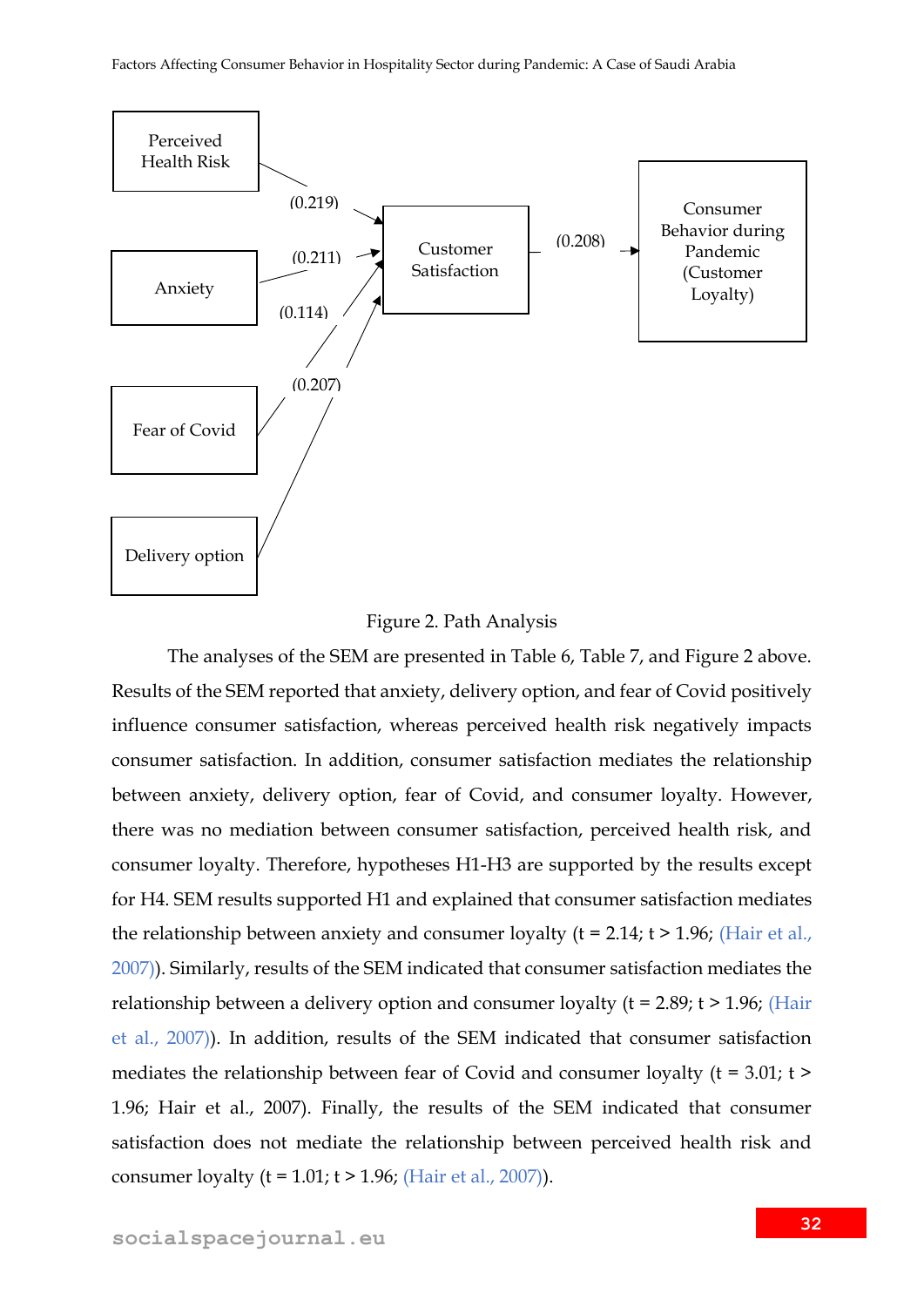



The analyses of the SEM are presented in Table 6, Table 7, and Figure 2 above. Results of the SEM reported that anxiety, delivery option, and fear of Covid positively influence consumer satisfaction, whereas perceived health risk negatively impacts consumer satisfaction. In addition, consumer satisfaction mediates the relationship between anxiety, delivery option, fear of Covid, and consumer loyalty. However, there was no mediation between consumer satisfaction, perceived health risk, and consumer loyalty. Therefore, hypotheses H1-H3 are supported by the results except for H4. SEM results supported H1 and explained that consumer satisfaction mediates the relationship between anxiety and consumer loyalty ( $t = 2.14$ ;  $t > 1.96$ ; (Hair et al., 2007)). Similarly, results of the SEM indicated that consumer satisfaction mediates the relationship between a delivery option and consumer loyalty ( $t = 2.89$ ;  $t > 1.96$ ; (Hair et al., 2007)). In addition, results of the SEM indicated that consumer satisfaction mediates the relationship between fear of Covid and consumer loyalty (t = 3.01; t > 1.96; Hair et al., 2007). Finally, the results of the SEM indicated that consumer satisfaction does not mediate the relationship between perceived health risk and consumer loyalty ( $t = 1.01$ ;  $t > 1.96$ ; (Hair et al., 2007)).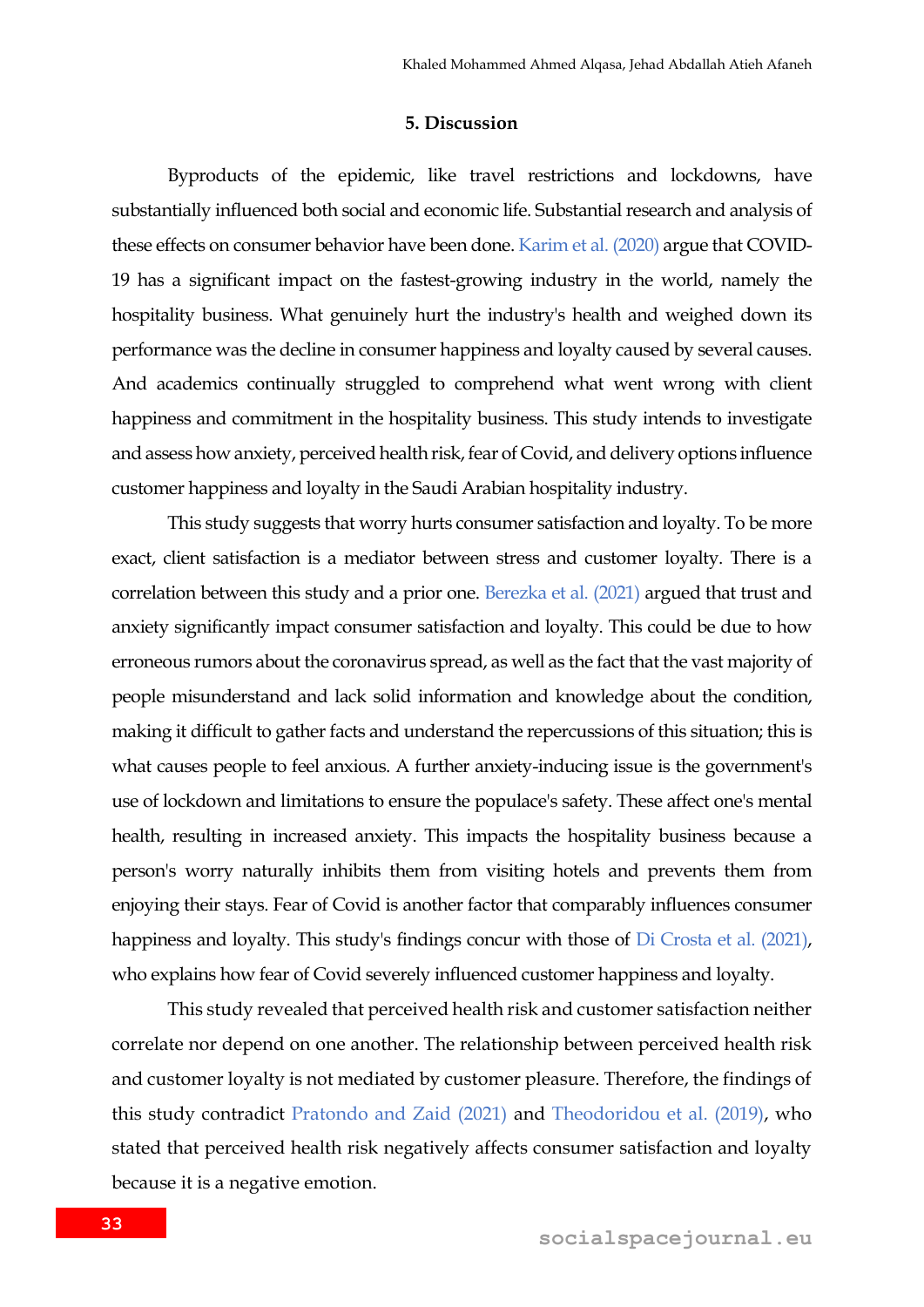#### **5. Discussion**

Byproducts of the epidemic, like travel restrictions and lockdowns, have substantially influenced both social and economic life. Substantial research and analysis of these effects on consumer behavior have been done. Karim et al. (2020) argue that COVID-19 has a significant impact on the fastest-growing industry in the world, namely the hospitality business. What genuinely hurt the industry's health and weighed down its performance was the decline in consumer happiness and loyalty caused by several causes. And academics continually struggled to comprehend what went wrong with client happiness and commitment in the hospitality business. This study intends to investigate and assess how anxiety, perceived health risk, fear of Covid, and delivery options influence customer happiness and loyalty in the Saudi Arabian hospitality industry.

This study suggests that worry hurts consumer satisfaction and loyalty. To be more exact, client satisfaction is a mediator between stress and customer loyalty. There is a correlation between this study and a prior one. Berezka et al. (2021) argued that trust and anxiety significantly impact consumer satisfaction and loyalty. This could be due to how erroneous rumors about the coronavirus spread, as well as the fact that the vast majority of people misunderstand and lack solid information and knowledge about the condition, making it difficult to gather facts and understand the repercussions of this situation; this is what causes people to feel anxious. A further anxiety-inducing issue is the government's use of lockdown and limitations to ensure the populace's safety. These affect one's mental health, resulting in increased anxiety. This impacts the hospitality business because a person's worry naturally inhibits them from visiting hotels and prevents them from enjoying their stays. Fear of Covid is another factor that comparably influences consumer happiness and loyalty. This study's findings concur with those of Di Crosta et al. (2021), who explains how fear of Covid severely influenced customer happiness and loyalty.

This study revealed that perceived health risk and customer satisfaction neither correlate nor depend on one another. The relationship between perceived health risk and customer loyalty is not mediated by customer pleasure. Therefore, the findings of this study contradict Pratondo and Zaid (2021) and Theodoridou et al. (2019), who stated that perceived health risk negatively affects consumer satisfaction and loyalty because it is a negative emotion.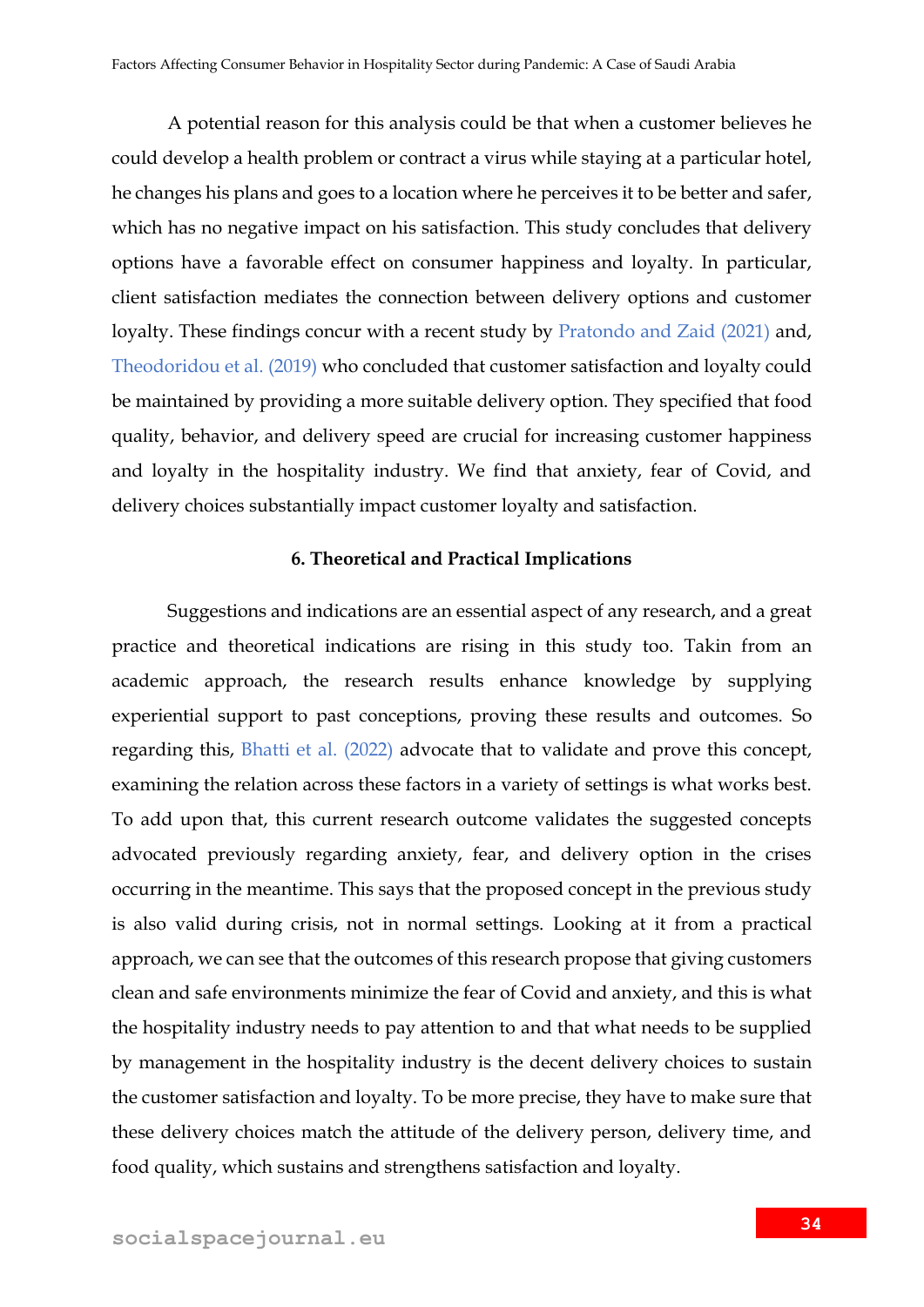A potential reason for this analysis could be that when a customer believes he could develop a health problem or contract a virus while staying at a particular hotel, he changes his plans and goes to a location where he perceives it to be better and safer, which has no negative impact on his satisfaction. This study concludes that delivery options have a favorable effect on consumer happiness and loyalty. In particular, client satisfaction mediates the connection between delivery options and customer loyalty. These findings concur with a recent study by Pratondo and Zaid (2021) and, Theodoridou et al. (2019) who concluded that customer satisfaction and loyalty could be maintained by providing a more suitable delivery option. They specified that food quality, behavior, and delivery speed are crucial for increasing customer happiness and loyalty in the hospitality industry. We find that anxiety, fear of Covid, and delivery choices substantially impact customer loyalty and satisfaction.

### **6. Theoretical and Practical Implications**

Suggestions and indications are an essential aspect of any research, and a great practice and theoretical indications are rising in this study too. Takin from an academic approach, the research results enhance knowledge by supplying experiential support to past conceptions, proving these results and outcomes. So regarding this, Bhatti et al. (2022) advocate that to validate and prove this concept, examining the relation across these factors in a variety of settings is what works best. To add upon that, this current research outcome validates the suggested concepts advocated previously regarding anxiety, fear, and delivery option in the crises occurring in the meantime. This says that the proposed concept in the previous study is also valid during crisis, not in normal settings. Looking at it from a practical approach, we can see that the outcomes of this research propose that giving customers clean and safe environments minimize the fear of Covid and anxiety, and this is what the hospitality industry needs to pay attention to and that what needs to be supplied by management in the hospitality industry is the decent delivery choices to sustain the customer satisfaction and loyalty. To be more precise, they have to make sure that these delivery choices match the attitude of the delivery person, delivery time, and food quality, which sustains and strengthens satisfaction and loyalty.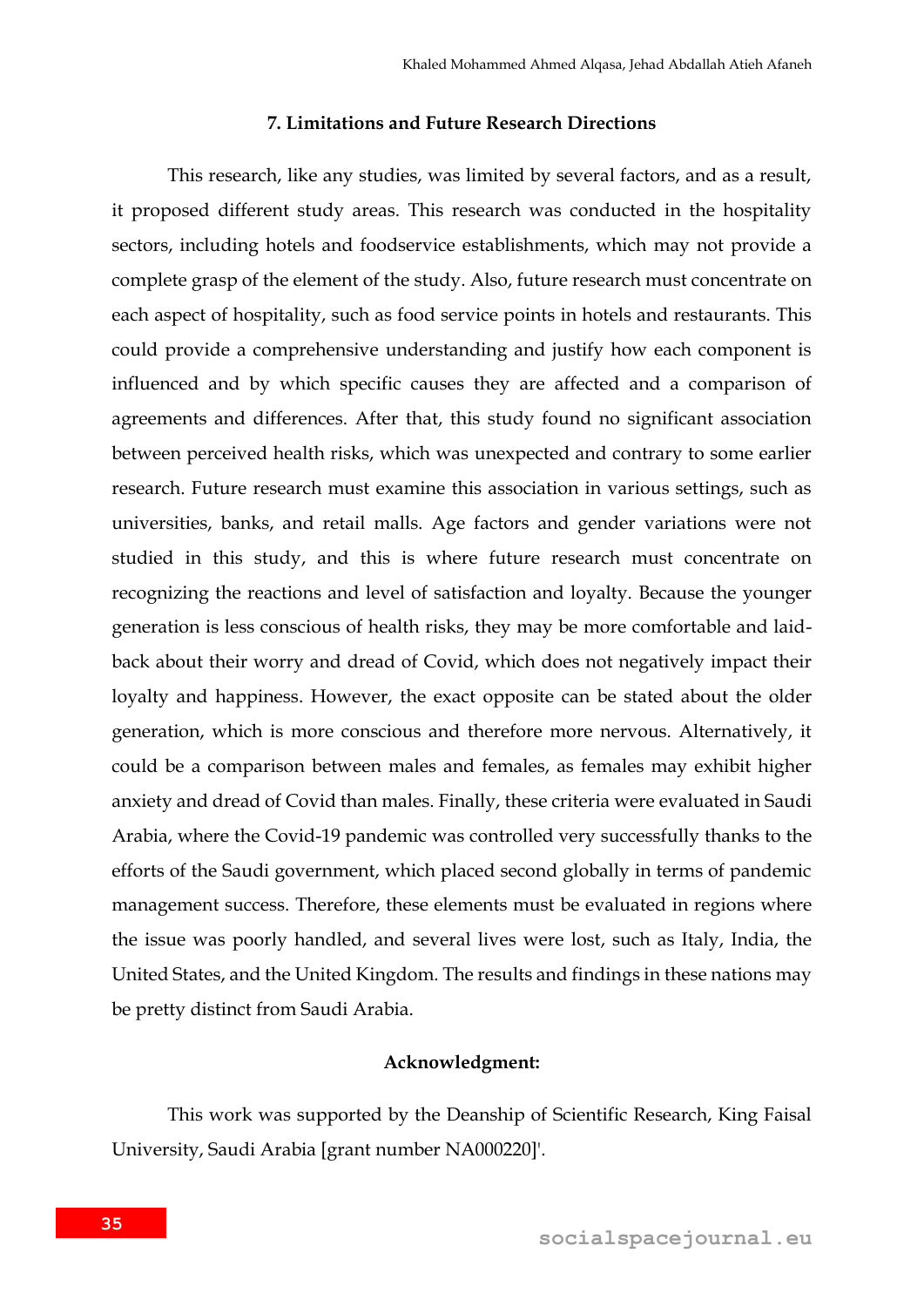### **7. Limitations and Future Research Directions**

This research, like any studies, was limited by several factors, and as a result, it proposed different study areas. This research was conducted in the hospitality sectors, including hotels and foodservice establishments, which may not provide a complete grasp of the element of the study. Also, future research must concentrate on each aspect of hospitality, such as food service points in hotels and restaurants. This could provide a comprehensive understanding and justify how each component is influenced and by which specific causes they are affected and a comparison of agreements and differences. After that, this study found no significant association between perceived health risks, which was unexpected and contrary to some earlier research. Future research must examine this association in various settings, such as universities, banks, and retail malls. Age factors and gender variations were not studied in this study, and this is where future research must concentrate on recognizing the reactions and level of satisfaction and loyalty. Because the younger generation is less conscious of health risks, they may be more comfortable and laidback about their worry and dread of Covid, which does not negatively impact their loyalty and happiness. However, the exact opposite can be stated about the older generation, which is more conscious and therefore more nervous. Alternatively, it could be a comparison between males and females, as females may exhibit higher anxiety and dread of Covid than males. Finally, these criteria were evaluated in Saudi Arabia, where the Covid-19 pandemic was controlled very successfully thanks to the efforts of the Saudi government, which placed second globally in terms of pandemic management success. Therefore, these elements must be evaluated in regions where the issue was poorly handled, and several lives were lost, such as Italy, India, the United States, and the United Kingdom. The results and findings in these nations may be pretty distinct from Saudi Arabia.

### **Acknowledgment:**

This work was supported by the Deanship of Scientific Research, King Faisal University, Saudi Arabia [grant number NA000220]'.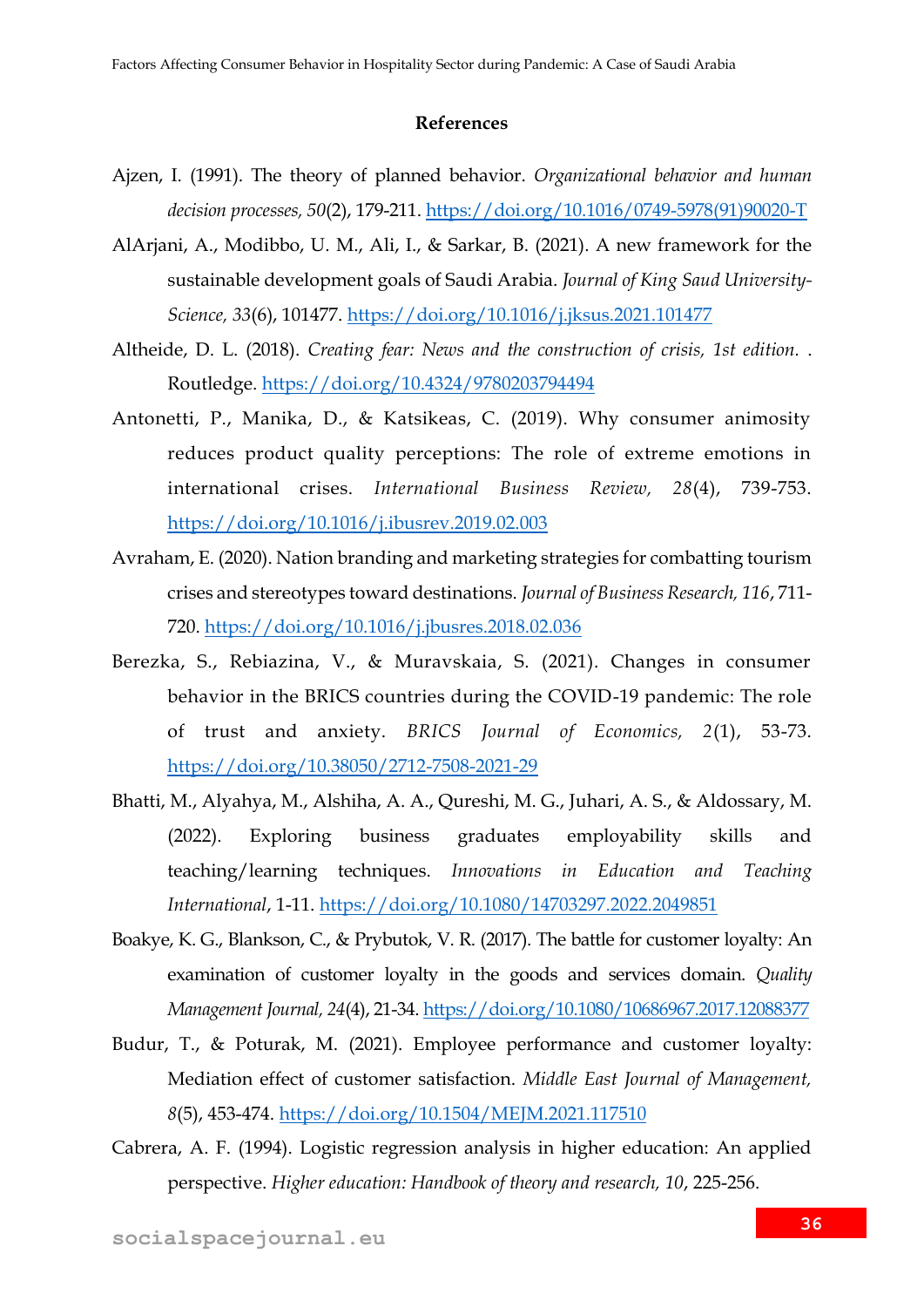#### **References**

- Ajzen, I. (1991). The theory of planned behavior. *Organizational behavior and human decision processes, 50*(2), 179-211. [https://doi.org/10.1016/0749-5978\(91\)90020-T](https://doi.org/10.1016/0749-5978(91)90020-T)
- AlArjani, A., Modibbo, U. M., Ali, I., & Sarkar, B. (2021). A new framework for the sustainable development goals of Saudi Arabia. *Journal of King Saud University-Science, 33*(6), 101477.<https://doi.org/10.1016/j.jksus.2021.101477>
- Altheide, D. L. (2018). *Creating fear: News and the construction of crisis, 1st edition.* . Routledge.<https://doi.org/10.4324/9780203794494>
- Antonetti, P., Manika, D., & Katsikeas, C. (2019). Why consumer animosity reduces product quality perceptions: The role of extreme emotions in international crises. *International Business Review, 28*(4), 739-753. <https://doi.org/10.1016/j.ibusrev.2019.02.003>
- Avraham, E. (2020). Nation branding and marketing strategies for combatting tourism crises and stereotypes toward destinations. *Journal of Business Research, 116*, 711- 720.<https://doi.org/10.1016/j.jbusres.2018.02.036>
- Berezka, S., Rebiazina, V., & Muravskaia, S. (2021). Changes in consumer behavior in the BRICS countries during the COVID-19 pandemic: The role of trust and anxiety. *BRICS Journal of Economics, 2*(1), 53-73. <https://doi.org/10.38050/2712-7508-2021-29>
- Bhatti, M., Alyahya, M., Alshiha, A. A., Qureshi, M. G., Juhari, A. S., & Aldossary, M. (2022). Exploring business graduates employability skills and teaching/learning techniques. *Innovations in Education and Teaching International*, 1-11.<https://doi.org/10.1080/14703297.2022.2049851>
- Boakye, K. G., Blankson, C., & Prybutok, V. R. (2017). The battle for customer loyalty: An examination of customer loyalty in the goods and services domain. *Quality Management Journal, 24*(4), 21-34.<https://doi.org/10.1080/10686967.2017.12088377>
- Budur, T., & Poturak, M. (2021). Employee performance and customer loyalty: Mediation effect of customer satisfaction. *Middle East Journal of Management, 8*(5), 453-474.<https://doi.org/10.1504/MEJM.2021.117510>
- Cabrera, A. F. (1994). Logistic regression analysis in higher education: An applied perspective. *Higher education: Handbook of theory and research, 10*, 225-256.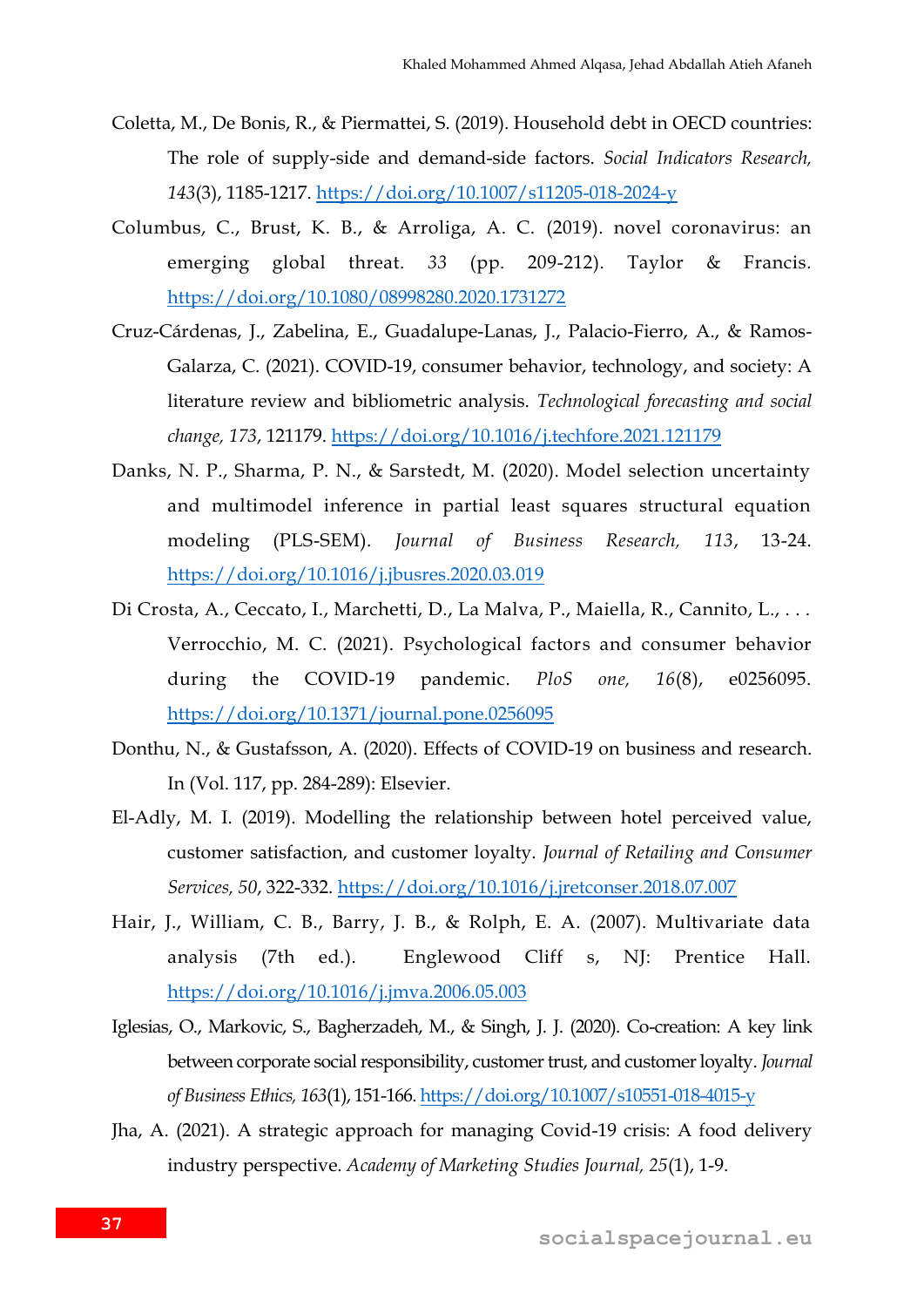- Coletta, M., De Bonis, R., & Piermattei, S. (2019). Household debt in OECD countries: The role of supply-side and demand-side factors. *Social Indicators Research, 143*(3), 1185-1217.<https://doi.org/10.1007/s11205-018-2024-y>
- Columbus, C., Brust, K. B., & Arroliga, A. C. (2019). novel coronavirus: an emerging global threat. *33* (pp. 209-212). Taylor & Francis*.* <https://doi.org/10.1080/08998280.2020.1731272>
- Cruz-Cárdenas, J., Zabelina, E., Guadalupe-Lanas, J., Palacio-Fierro, A., & Ramos-Galarza, C. (2021). COVID-19, consumer behavior, technology, and society: A literature review and bibliometric analysis. *Technological forecasting and social change, 173*, 121179.<https://doi.org/10.1016/j.techfore.2021.121179>
- Danks, N. P., Sharma, P. N., & Sarstedt, M. (2020). Model selection uncertainty and multimodel inference in partial least squares structural equation modeling (PLS-SEM). *Journal of Business Research, 113*, 13-24. <https://doi.org/10.1016/j.jbusres.2020.03.019>
- Di Crosta, A., Ceccato, I., Marchetti, D., La Malva, P., Maiella, R., Cannito, L., ... Verrocchio, M. C. (2021). Psychological factors and consumer behavior during the COVID-19 pandemic. *PloS one, 16*(8), e0256095. <https://doi.org/10.1371/journal.pone.0256095>
- Donthu, N., & Gustafsson, A. (2020). Effects of COVID-19 on business and research. In (Vol. 117, pp. 284-289): Elsevier.
- El-Adly, M. I. (2019). Modelling the relationship between hotel perceived value, customer satisfaction, and customer loyalty. *Journal of Retailing and Consumer Services, 50*, 322-332.<https://doi.org/10.1016/j.jretconser.2018.07.007>
- Hair, J., William, C. B., Barry, J. B., & Rolph, E. A. (2007). Multivariate data analysis (7th ed.). Englewood Cliff s, NJ: Prentice Hall. <https://doi.org/10.1016/j.jmva.2006.05.003>
- Iglesias, O., Markovic, S., Bagherzadeh, M., & Singh, J. J. (2020). Co-creation: A key link between corporate social responsibility, customer trust, and customer loyalty. *Journal of Business Ethics, 163*(1), 151-166.<https://doi.org/10.1007/s10551-018-4015-y>
- Jha, A. (2021). A strategic approach for managing Covid-19 crisis: A food delivery industry perspective. *Academy of Marketing Studies Journal, 25*(1), 1-9.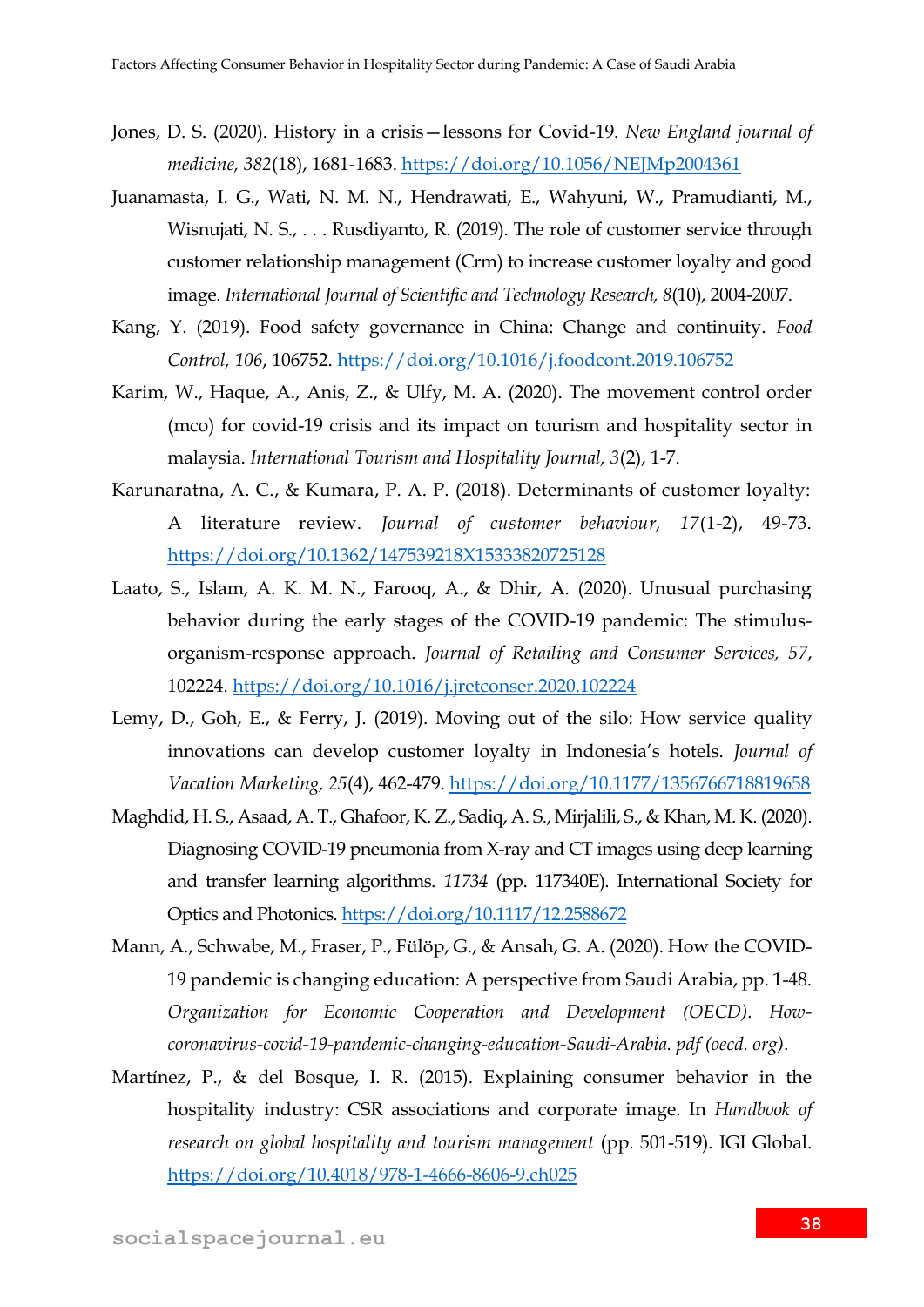- Jones, D. S. (2020). History in a crisis—lessons for Covid-19. *New England journal of medicine, 382*(18), 1681-1683.<https://doi.org/10.1056/NEJMp2004361>
- Juanamasta, I. G., Wati, N. M. N., Hendrawati, E., Wahyuni, W., Pramudianti, M., Wisnujati, N. S., . . . Rusdiyanto, R. (2019). The role of customer service through customer relationship management (Crm) to increase customer loyalty and good image. *International Journal of Scientific and Technology Research, 8*(10), 2004-2007.
- Kang, Y. (2019). Food safety governance in China: Change and continuity. *Food Control, 106*, 106752.<https://doi.org/10.1016/j.foodcont.2019.106752>
- Karim, W., Haque, A., Anis, Z., & Ulfy, M. A. (2020). The movement control order (mco) for covid-19 crisis and its impact on tourism and hospitality sector in malaysia. *International Tourism and Hospitality Journal, 3*(2), 1-7.
- Karunaratna, A. C., & Kumara, P. A. P. (2018). Determinants of customer loyalty: A literature review. *Journal of customer behaviour, 17*(1-2), 49-73. <https://doi.org/10.1362/147539218X15333820725128>
- Laato, S., Islam, A. K. M. N., Farooq, A., & Dhir, A. (2020). Unusual purchasing behavior during the early stages of the COVID-19 pandemic: The stimulusorganism-response approach. *Journal of Retailing and Consumer Services, 57*, 102224.<https://doi.org/10.1016/j.jretconser.2020.102224>
- Lemy, D., Goh, E., & Ferry, J. (2019). Moving out of the silo: How service quality innovations can develop customer loyalty in Indonesia's hotels. *Journal of Vacation Marketing, 25*(4), 462-479.<https://doi.org/10.1177/1356766718819658>
- Maghdid, H. S., Asaad, A. T., Ghafoor, K. Z., Sadiq, A. S., Mirjalili, S., & Khan, M. K. (2020). Diagnosing COVID-19 pneumonia from X-ray and CT images using deep learning and transfer learning algorithms. *11734* (pp. 117340E). International Society for Optics and Photonics*.* <https://doi.org/10.1117/12.2588672>
- Mann, A., Schwabe, M., Fraser, P., Fülöp, G., & Ansah, G. A. (2020). How the COVID-19 pandemic is changing education: A perspective from Saudi Arabia, pp. 1-48. *Organization for Economic Cooperation and Development (OECD). Howcoronavirus-covid-19-pandemic-changing-education-Saudi-Arabia. pdf (oecd. org)*.
- Martínez, P., & del Bosque, I. R. (2015). Explaining consumer behavior in the hospitality industry: CSR associations and corporate image. In *Handbook of research on global hospitality and tourism management* (pp. 501-519). IGI Global. <https://doi.org/10.4018/978-1-4666-8606-9.ch025>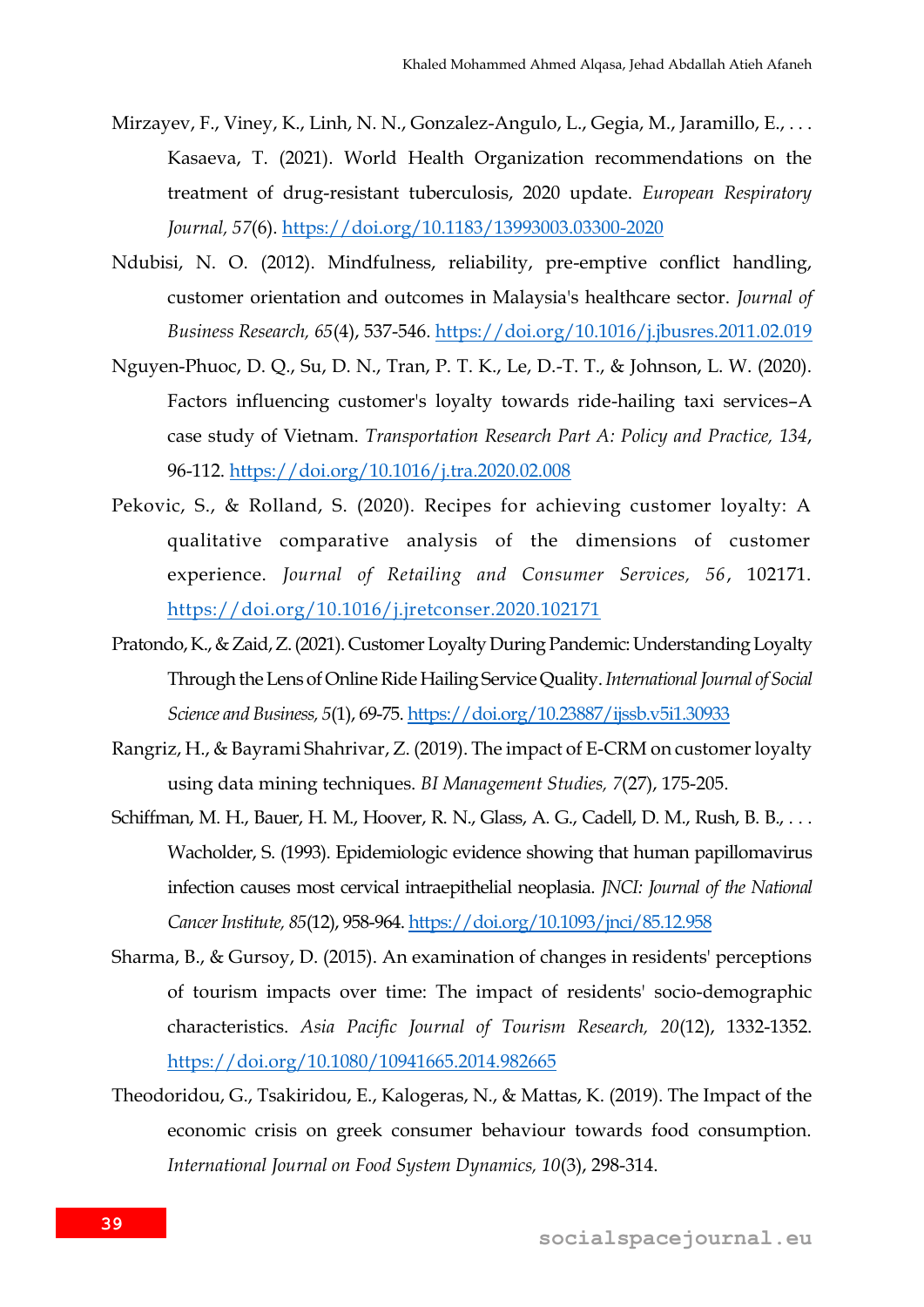- Mirzayev, F., Viney, K., Linh, N. N., Gonzalez-Angulo, L., Gegia, M., Jaramillo, E., ... Kasaeva, T. (2021). World Health Organization recommendations on the treatment of drug-resistant tuberculosis, 2020 update. *European Respiratory Journal, 57*(6).<https://doi.org/10.1183/13993003.03300-2020>
- Ndubisi, N. O. (2012). Mindfulness, reliability, pre-emptive conflict handling, customer orientation and outcomes in Malaysia's healthcare sector. *Journal of Business Research, 65*(4), 537-546.<https://doi.org/10.1016/j.jbusres.2011.02.019>
- Nguyen-Phuoc, D. Q., Su, D. N., Tran, P. T. K., Le, D.-T. T., & Johnson, L. W. (2020). Factors influencing customer's loyalty towards ride-hailing taxi services–A case study of Vietnam. *Transportation Research Part A: Policy and Practice, 134*, 96-112.<https://doi.org/10.1016/j.tra.2020.02.008>
- Pekovic, S., & Rolland, S. (2020). Recipes for achieving customer loyalty: A qualitative comparative analysis of the dimensions of customer experience. *Journal of Retailing and Consumer Services, 56*, 102171. <https://doi.org/10.1016/j.jretconser.2020.102171>
- Pratondo, K., & Zaid, Z. (2021). Customer Loyalty During Pandemic: Understanding Loyalty Through the Lens of Online Ride Hailing Service Quality. *International Journal of Social Science and Business, 5*(1), 69-75[. https://doi.org/10.23887/ijssb.v5i1.30933](https://doi.org/10.23887/ijssb.v5i1.30933)
- Rangriz, H., & Bayrami Shahrivar, Z. (2019). The impact of E-CRM on customer loyalty using data mining techniques. *BI Management Studies, 7*(27), 175-205.
- Schiffman, M. H., Bauer, H. M., Hoover, R. N., Glass, A. G., Cadell, D. M., Rush, B. B., . . . Wacholder, S. (1993). Epidemiologic evidence showing that human papillomavirus infection causes most cervical intraepithelial neoplasia. *JNCI: Journal of the National Cancer Institute, 85*(12), 958-964[. https://doi.org/10.1093/jnci/85.12.958](https://doi.org/10.1093/jnci/85.12.958)
- Sharma, B., & Gursoy, D. (2015). An examination of changes in residents' perceptions of tourism impacts over time: The impact of residents' socio-demographic characteristics. *Asia Pacific Journal of Tourism Research, 20*(12), 1332-1352. <https://doi.org/10.1080/10941665.2014.982665>
- Theodoridou, G., Tsakiridou, E., Kalogeras, N., & Mattas, K. (2019). The Impact of the economic crisis on greek consumer behaviour towards food consumption. *International Journal on Food System Dynamics, 10*(3), 298-314.